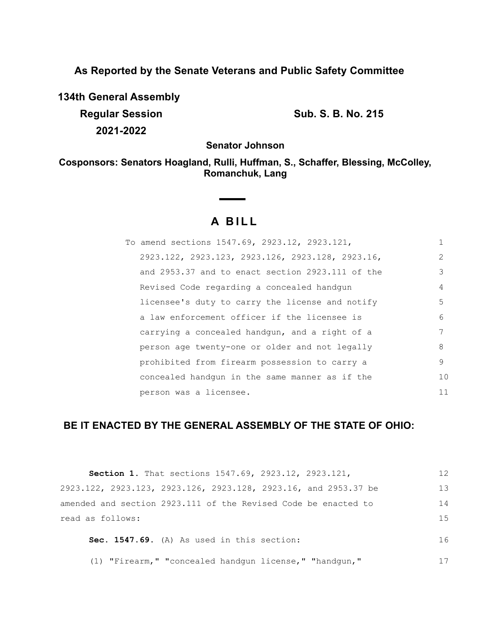**As Reported by the Senate Veterans and Public Safety Committee**

**134th General Assembly Regular Session Sub. S. B. No. 215 2021-2022**

**Senator Johnson**

**Cosponsors: Senators Hoagland, Rulli, Huffman, S., Schaffer, Blessing, McColley, Romanchuk, Lang**

# **A B I L L**

**Contract Contract Contract** 

| To amend sections 1547.69, 2923.12, 2923.121,    |               |
|--------------------------------------------------|---------------|
| 2923.122, 2923.123, 2923.126, 2923.128, 2923.16, | $\mathcal{P}$ |
| and 2953.37 and to enact section 2923.111 of the | 3             |
| Revised Code regarding a concealed handgun       | 4             |
| licensee's duty to carry the license and notify  | .5            |
| a law enforcement officer if the licensee is     | 6             |
| carrying a concealed handgun, and a right of a   | 7             |
| person age twenty-one or older and not legally   | 8             |
| prohibited from firearm possession to carry a    | 9             |
| concealed handqun in the same manner as if the   | 10            |
| person was a licensee.                           | 11            |

# **BE IT ENACTED BY THE GENERAL ASSEMBLY OF THE STATE OF OHIO:**

| Section 1. That sections 1547.69, 2923.12, 2923.121,            | 12  |
|-----------------------------------------------------------------|-----|
| 2923.122, 2923.123, 2923.126, 2923.128, 2923.16, and 2953.37 be | 13  |
| amended and section 2923.111 of the Revised Code be enacted to  | 14  |
| read as follows:                                                | 1.5 |
| Sec. 1547.69. (A) As used in this section:                      | 16  |
| (1) "Firearm," "concealed handqun license," "handqun,"          | 17  |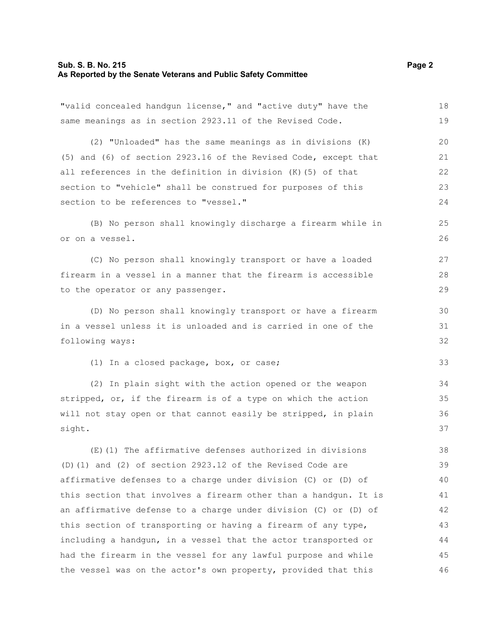# **Sub. S. B. No. 215 Page 2 As Reported by the Senate Veterans and Public Safety Committee**

"valid concealed handgun license," and "active duty" have the same meanings as in section 2923.11 of the Revised Code.

(2) "Unloaded" has the same meanings as in divisions (K) (5) and (6) of section 2923.16 of the Revised Code, except that all references in the definition in division (K)(5) of that section to "vehicle" shall be construed for purposes of this section to be references to "vessel." 20 21 22 23  $24$ 

(B) No person shall knowingly discharge a firearm while in or on a vessel.

(C) No person shall knowingly transport or have a loaded firearm in a vessel in a manner that the firearm is accessible to the operator or any passenger.

(D) No person shall knowingly transport or have a firearm in a vessel unless it is unloaded and is carried in one of the following ways:

(1) In a closed package, box, or case;

(2) In plain sight with the action opened or the weapon stripped, or, if the firearm is of a type on which the action will not stay open or that cannot easily be stripped, in plain sight. 34 35 36 37

(E)(1) The affirmative defenses authorized in divisions (D)(1) and (2) of section 2923.12 of the Revised Code are affirmative defenses to a charge under division (C) or (D) of this section that involves a firearm other than a handgun. It is an affirmative defense to a charge under division (C) or (D) of this section of transporting or having a firearm of any type, including a handgun, in a vessel that the actor transported or had the firearm in the vessel for any lawful purpose and while the vessel was on the actor's own property, provided that this 38 39 40 41 42 43 44 45 46

18 19

25 26

27 28 29

30 31 32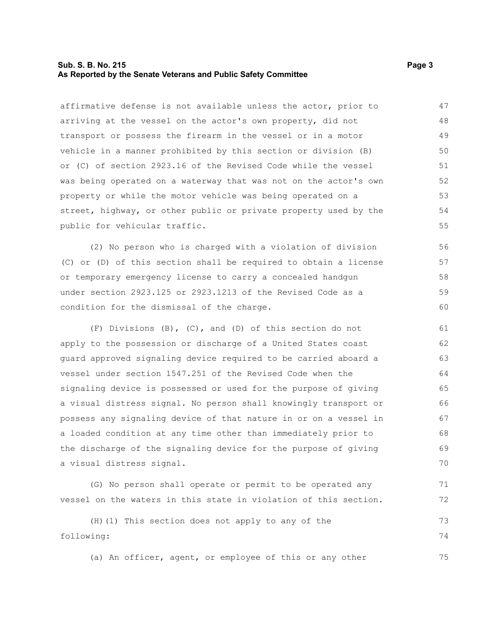#### **Sub. S. B. No. 215 Page 3 As Reported by the Senate Veterans and Public Safety Committee**

affirmative defense is not available unless the actor, prior to arriving at the vessel on the actor's own property, did not transport or possess the firearm in the vessel or in a motor vehicle in a manner prohibited by this section or division (B) or (C) of section 2923.16 of the Revised Code while the vessel was being operated on a waterway that was not on the actor's own property or while the motor vehicle was being operated on a street, highway, or other public or private property used by the public for vehicular traffic. 47 48 49 50 51 52 53 54 55

(2) No person who is charged with a violation of division (C) or (D) of this section shall be required to obtain a license or temporary emergency license to carry a concealed handgun under section 2923.125 or 2923.1213 of the Revised Code as a condition for the dismissal of the charge.

(F) Divisions (B), (C), and (D) of this section do not apply to the possession or discharge of a United States coast guard approved signaling device required to be carried aboard a vessel under section 1547.251 of the Revised Code when the signaling device is possessed or used for the purpose of giving a visual distress signal. No person shall knowingly transport or possess any signaling device of that nature in or on a vessel in a loaded condition at any time other than immediately prior to the discharge of the signaling device for the purpose of giving a visual distress signal. 61 62 63 64 65 66 67 68 69 70

(G) No person shall operate or permit to be operated any vessel on the waters in this state in violation of this section.

|            | $(H)$ (1) This section does not apply to any of the |  |  |  |  | 72 |
|------------|-----------------------------------------------------|--|--|--|--|----|
| following: |                                                     |  |  |  |  | 74 |

(a) An officer, agent, or employee of this or any other

71 72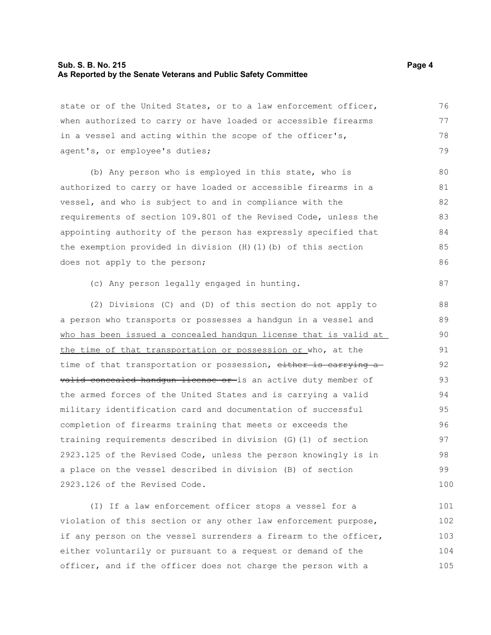### **Sub. S. B. No. 215 Page 4 As Reported by the Senate Veterans and Public Safety Committee**

state or of the United States, or to a law enforcement officer, when authorized to carry or have loaded or accessible firearms in a vessel and acting within the scope of the officer's, agent's, or employee's duties; 76 77 78 79

(b) Any person who is employed in this state, who is authorized to carry or have loaded or accessible firearms in a vessel, and who is subject to and in compliance with the requirements of section 109.801 of the Revised Code, unless the appointing authority of the person has expressly specified that the exemption provided in division (H)(1)(b) of this section does not apply to the person;

(c) Any person legally engaged in hunting.

(2) Divisions (C) and (D) of this section do not apply to a person who transports or possesses a handgun in a vessel and who has been issued a concealed handgun license that is valid at the time of that transportation or possession or who, at the time of that transportation or possession, either is carrying a valid concealed handgun license or is an active duty member of the armed forces of the United States and is carrying a valid military identification card and documentation of successful completion of firearms training that meets or exceeds the training requirements described in division (G)(1) of section 2923.125 of the Revised Code, unless the person knowingly is in a place on the vessel described in division (B) of section 2923.126 of the Revised Code. 88 89 90 91 92 93 94 95 96 97 98 99 100

(I) If a law enforcement officer stops a vessel for a violation of this section or any other law enforcement purpose, if any person on the vessel surrenders a firearm to the officer, either voluntarily or pursuant to a request or demand of the officer, and if the officer does not charge the person with a 101 102 103 104 105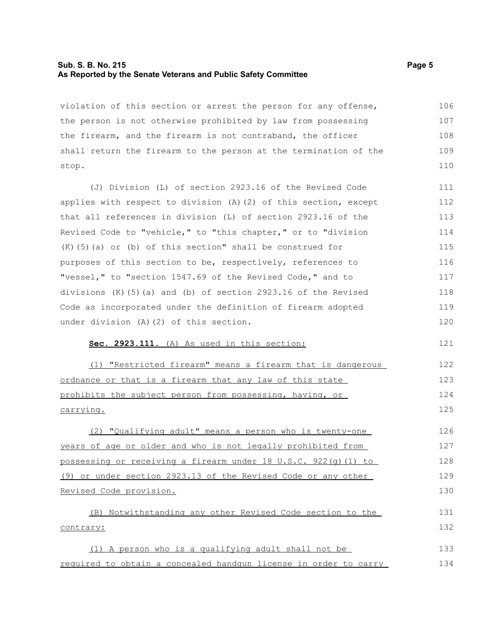### **Sub. S. B. No. 215 Page 5 As Reported by the Senate Veterans and Public Safety Committee**

violation of this section or arrest the person for any offense, the person is not otherwise prohibited by law from possessing the firearm, and the firearm is not contraband, the officer shall return the firearm to the person at the termination of the stop. 106 107 108 109 110

(J) Division (L) of section 2923.16 of the Revised Code applies with respect to division  $(A)$   $(2)$  of this section, except that all references in division (L) of section 2923.16 of the Revised Code to "vehicle," to "this chapter," or to "division (K)(5)(a) or (b) of this section" shall be construed for purposes of this section to be, respectively, references to "vessel," to "section 1547.69 of the Revised Code," and to divisions  $(K)$  (5)(a) and (b) of section 2923.16 of the Revised Code as incorporated under the definition of firearm adopted under division (A)(2) of this section. 111 112 113 114 115 116 117 118 119 120

#### **Sec. 2923.111.** (A) As used in this section:

(1) "Restricted firearm" means a firearm that is dangerous ordnance or that is a firearm that any law of this state prohibits the subject person from possessing, having, or carrying. 122 123 124 125

(2) "Qualifying adult" means a person who is twenty-one years of age or older and who is not legally prohibited from possessing or receiving a firearm under 18 U.S.C. 922(g)(1) to (9) or under section 2923.13 of the Revised Code or any other Revised Code provision. 126 127 128 129 130

(B) Notwithstanding any other Revised Code section to the contrary: 131 132

(1) A person who is a qualifying adult shall not be required to obtain a concealed handgun license in order to carry 133 134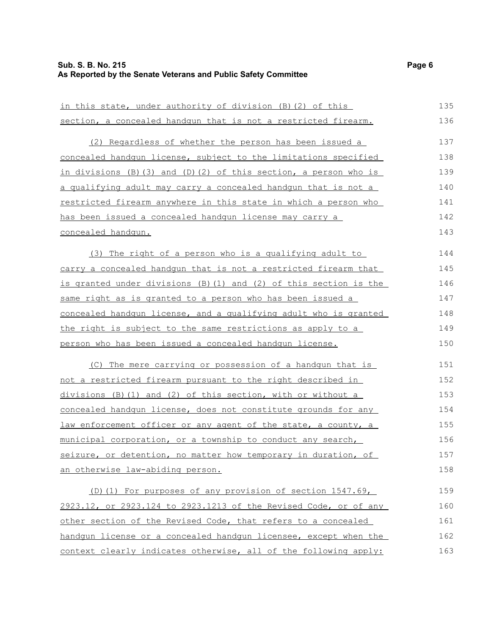# **Sub. S. B. No. 215** Page 6 **As Reported by the Senate Veterans and Public Safety Committee**

| in this state, under authority of division (B) (2) of this            | 135 |
|-----------------------------------------------------------------------|-----|
| section, a concealed handqun that is not a restricted firearm.        | 136 |
| (2) Regardless of whether the person has been issued a                | 137 |
| concealed handqun license, subject to the limitations specified       | 138 |
| in divisions (B) (3) and (D) (2) of this section, a person who is     | 139 |
| a qualifying adult may carry a concealed handgun that is not a        | 140 |
| restricted firearm anywhere in this state in which a person who       | 141 |
| has been issued a concealed handgun license may carry a               | 142 |
| concealed handgun.                                                    | 143 |
| (3) The right of a person who is a qualifying adult to                | 144 |
| carry a concealed handqun that is not a restricted firearm that       | 145 |
| is granted under divisions (B) (1) and (2) of this section is the     | 146 |
| same right as is granted to a person who has been issued a            | 147 |
| concealed handgun license, and a qualifying adult who is granted      | 148 |
| the right is subject to the same restrictions as apply to a           | 149 |
| person who has been issued a concealed handgun license.               | 150 |
| (C) The mere carrying or possession of a handgun that is              | 151 |
| not a restricted firearm pursuant to the right described in           | 152 |
| $divisions$ (B) (1) and (2) of this section, with or without a        | 153 |
| concealed handqun license, does not constitute grounds for any        | 154 |
| <u>law enforcement officer or any agent of the state, a county, a</u> | 155 |
| municipal corporation, or a township to conduct any search,           | 156 |
| seizure, or detention, no matter how temporary in duration, of        | 157 |
| an otherwise law-abiding person.                                      | 158 |
| (D)(1) For purposes of any provision of section 1547.69,              | 159 |
| 2923.12, or 2923.124 to 2923.1213 of the Revised Code, or of any      | 160 |
| other section of the Revised Code, that refers to a concealed         | 161 |
| handqun license or a concealed handqun licensee, except when the      | 162 |
| context clearly indicates otherwise, all of the following apply:      | 163 |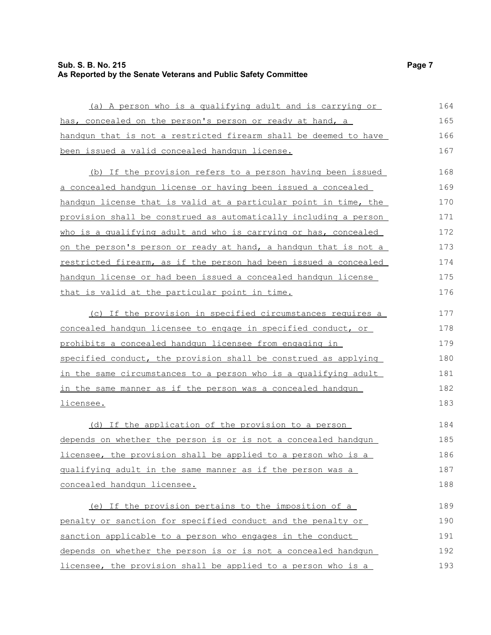# **Sub. S. B. No. 215 Page 7 As Reported by the Senate Veterans and Public Safety Committee**

| (a) A person who is a qualifying adult and is carrying or               | 164 |
|-------------------------------------------------------------------------|-----|
| has, concealed on the person's person or ready at hand, a               | 165 |
| handqun that is not a restricted firearm shall be deemed to have        | 166 |
| been issued a valid concealed handqun license.                          | 167 |
| (b) If the provision refers to a person having been issued              | 168 |
| a concealed handqun license or having been issued a concealed           | 169 |
| handqun license that is valid at a particular point in time, the        | 170 |
| provision shall be construed as automatically including a person        | 171 |
| who is a qualifying adult and who is carrying or has, concealed         | 172 |
| on the person's person or ready at hand, a handgun that is not a        | 173 |
| <u>restricted firearm, as if the person had been issued a concealed</u> | 174 |
| handqun license or had been issued a concealed handqun license          | 175 |
| that is valid at the particular point in time.                          | 176 |
| (c) If the provision in specified circumstances requires a              | 177 |
| <u>concealed handgun licensee to engage in specified conduct, or </u>   | 178 |
| prohibits a concealed handqun licensee from engaging in                 | 179 |
| specified conduct, the provision shall be construed as applying         | 180 |
| in the same circumstances to a person who is a qualifying adult         | 181 |
| in the same manner as if the person was a concealed handgun             | 182 |
| licensee.                                                               | 183 |
| (d) If the application of the provision to a person                     | 184 |
| <u>depends on whether the person is or is not a concealed handqun</u>   | 185 |
| licensee, the provision shall be applied to a person who is a           | 186 |
| qualifying adult in the same manner as if the person was a              | 187 |
| concealed handqun licensee.                                             | 188 |
| (e) If the provision pertains to the imposition of a                    | 189 |
| penalty or sanction for specified conduct and the penalty or            | 190 |
| sanction applicable to a person who engages in the conduct              | 191 |
|                                                                         |     |

depends on whether the person is or is not a concealed handgun licensee, the provision shall be applied to a person who is a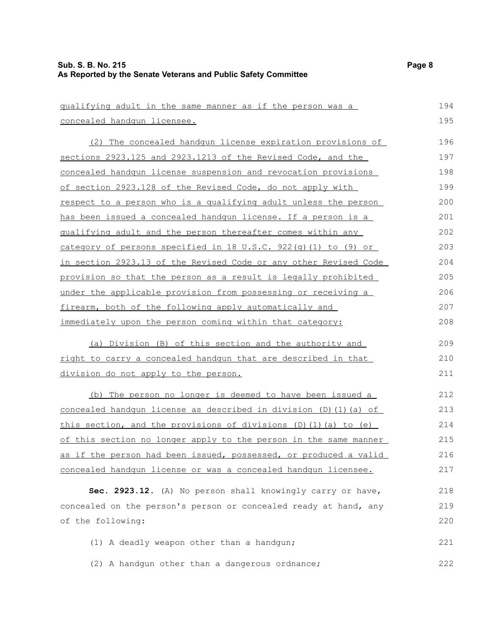# **Sub. S. B. No. 215 Page 8 As Reported by the Senate Veterans and Public Safety Committee**

| <u>qualifying adult in the same manner as if the person was a</u>     | 194 |
|-----------------------------------------------------------------------|-----|
| concealed handqun licensee.                                           | 195 |
| (2) The concealed handqun license expiration provisions of            | 196 |
| sections 2923.125 and 2923.1213 of the Revised Code, and the          | 197 |
| concealed handqun license suspension and revocation provisions        | 198 |
| of section 2923.128 of the Revised Code, do not apply with            | 199 |
| respect to a person who is a qualifying adult unless the person       | 200 |
| has been issued a concealed handqun license. If a person is a         | 201 |
| qualifying adult and the person thereafter comes within any           | 202 |
| <u>category of persons specified in 18 U.S.C. 922(g)(1) to (9) or</u> | 203 |
| in section 2923.13 of the Revised Code or any other Revised Code      | 204 |
| provision so that the person as a result is legally prohibited        | 205 |
| under the applicable provision from possessing or receiving a         | 206 |
| firearm, both of the following apply automatically and                | 207 |
| immediately upon the person coming within that category:              | 208 |
| (a) Division (B) of this section and the authority and                | 209 |
| right to carry a concealed handgun that are described in that         | 210 |
| division do not apply to the person.                                  | 211 |
| (b) The person no longer is deemed to have been issued a              | 212 |
| concealed handqun license as described in division (D) (1) (a) of     | 213 |
| this section, and the provisions of divisions (D)(1)(a) to (e)        | 214 |
| of this section no longer apply to the person in the same manner      | 215 |
| as if the person had been issued, possessed, or produced a valid      | 216 |
| concealed handgun license or was a concealed handgun licensee.        | 217 |
| Sec. 2923.12. (A) No person shall knowingly carry or have,            | 218 |
| concealed on the person's person or concealed ready at hand, any      | 219 |
| of the following:                                                     | 220 |
| (1) A deadly weapon other than a handgun;                             | 221 |
| (2) A handgun other than a dangerous ordnance;                        | 222 |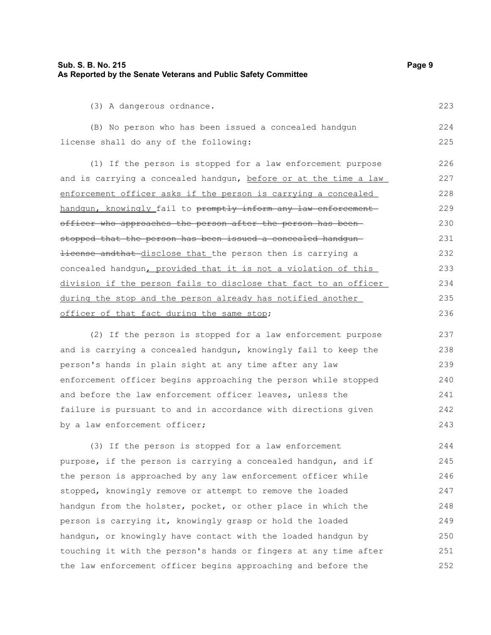223

(3) A dangerous ordnance.

(B) No person who has been issued a concealed handgun license shall do any of the following: 224 225

(1) If the person is stopped for a law enforcement purpose and is carrying a concealed handgun, before or at the time a law enforcement officer asks if the person is carrying a concealed handgun, knowingly fail to promptly inform any law enforcement officer who approaches the person after the person has been stopped that the person has been issued a concealed handgun license andthat disclose that the person then is carrying a concealed handgun, provided that it is not a violation of this division if the person fails to disclose that fact to an officer during the stop and the person already has notified another officer of that fact during the same stop; 226 227 228 229 230 231 232 233 234 235 236

(2) If the person is stopped for a law enforcement purpose and is carrying a concealed handgun, knowingly fail to keep the person's hands in plain sight at any time after any law enforcement officer begins approaching the person while stopped and before the law enforcement officer leaves, unless the failure is pursuant to and in accordance with directions given by a law enforcement officer;

(3) If the person is stopped for a law enforcement purpose, if the person is carrying a concealed handgun, and if the person is approached by any law enforcement officer while stopped, knowingly remove or attempt to remove the loaded handgun from the holster, pocket, or other place in which the person is carrying it, knowingly grasp or hold the loaded handgun, or knowingly have contact with the loaded handgun by touching it with the person's hands or fingers at any time after the law enforcement officer begins approaching and before the 244 245 246 247 248 249 250 251 252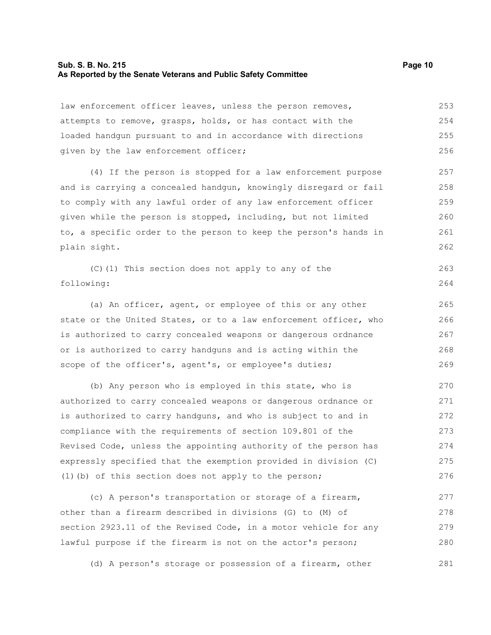#### **Sub. S. B. No. 215 Page 10 As Reported by the Senate Veterans and Public Safety Committee**

law enforcement officer leaves, unless the person removes, attempts to remove, grasps, holds, or has contact with the loaded handgun pursuant to and in accordance with directions given by the law enforcement officer; 253 254 255 256

(4) If the person is stopped for a law enforcement purpose and is carrying a concealed handgun, knowingly disregard or fail to comply with any lawful order of any law enforcement officer given while the person is stopped, including, but not limited to, a specific order to the person to keep the person's hands in plain sight. 257 258 259 260 261 262

|            | (C)(1) This section does not apply to any of the |  |  |  |  | 263 |
|------------|--------------------------------------------------|--|--|--|--|-----|
| following: |                                                  |  |  |  |  | 264 |

(a) An officer, agent, or employee of this or any other state or the United States, or to a law enforcement officer, who is authorized to carry concealed weapons or dangerous ordnance or is authorized to carry handguns and is acting within the scope of the officer's, agent's, or employee's duties; 265 266 267 268 269

(b) Any person who is employed in this state, who is authorized to carry concealed weapons or dangerous ordnance or is authorized to carry handguns, and who is subject to and in compliance with the requirements of section 109.801 of the Revised Code, unless the appointing authority of the person has expressly specified that the exemption provided in division (C) (1)(b) of this section does not apply to the person; 270 271 272 273 274 275 276

(c) A person's transportation or storage of a firearm, other than a firearm described in divisions (G) to (M) of section 2923.11 of the Revised Code, in a motor vehicle for any lawful purpose if the firearm is not on the actor's person; 277 278 279 280

(d) A person's storage or possession of a firearm, other 281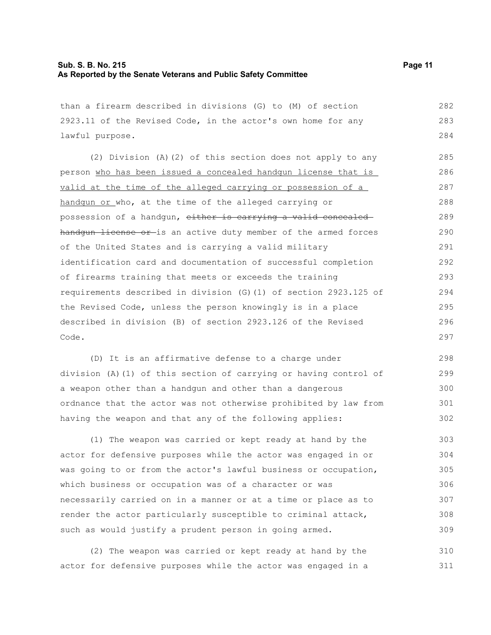# **Sub. S. B. No. 215 Page 11 As Reported by the Senate Veterans and Public Safety Committee**

| than a firearm described in divisions (G) to (M) of section       | 282 |
|-------------------------------------------------------------------|-----|
| 2923.11 of the Revised Code, in the actor's own home for any      | 283 |
| lawful purpose.                                                   | 284 |
| (2) Division (A) (2) of this section does not apply to any        | 285 |
| person who has been issued a concealed handqun license that is    | 286 |
| valid at the time of the alleged carrying or possession of a      | 287 |
| handgun or who, at the time of the alleged carrying or            | 288 |
| possession of a handgun, either is carrying a valid concealed     | 289 |
| handgun license or-is an active duty member of the armed forces   | 290 |
| of the United States and is carrying a valid military             | 291 |
| identification card and documentation of successful completion    | 292 |
| of firearms training that meets or exceeds the training           | 293 |
| requirements described in division (G) (1) of section 2923.125 of | 294 |
| the Revised Code, unless the person knowingly is in a place       | 295 |
| described in division (B) of section 2923.126 of the Revised      | 296 |
| Code.                                                             | 297 |

(D) It is an affirmative defense to a charge under division (A)(1) of this section of carrying or having control of a weapon other than a handgun and other than a dangerous ordnance that the actor was not otherwise prohibited by law from having the weapon and that any of the following applies: 298 299 300 301 302

(1) The weapon was carried or kept ready at hand by the actor for defensive purposes while the actor was engaged in or was going to or from the actor's lawful business or occupation, which business or occupation was of a character or was necessarily carried on in a manner or at a time or place as to render the actor particularly susceptible to criminal attack, such as would justify a prudent person in going armed. 303 304 305 306 307 308 309

(2) The weapon was carried or kept ready at hand by the actor for defensive purposes while the actor was engaged in a 310 311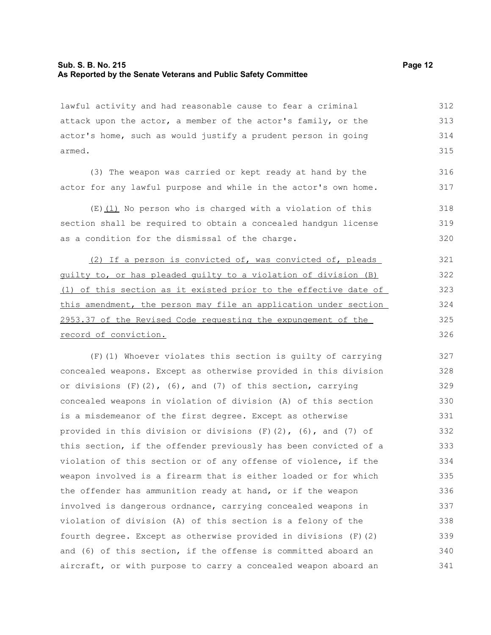### **Sub. S. B. No. 215 Page 12 As Reported by the Senate Veterans and Public Safety Committee**

lawful activity and had reasonable cause to fear a criminal attack upon the actor, a member of the actor's family, or the actor's home, such as would justify a prudent person in going armed. 312 313 314 315

(3) The weapon was carried or kept ready at hand by the actor for any lawful purpose and while in the actor's own home. 316 317

 $(E)$  (1) No person who is charged with a violation of this section shall be required to obtain a concealed handgun license as a condition for the dismissal of the charge. 318 319 320

(2) If a person is convicted of, was convicted of, pleads guilty to, or has pleaded guilty to a violation of division (B) (1) of this section as it existed prior to the effective date of this amendment, the person may file an application under section 2953.37 of the Revised Code requesting the expungement of the record of conviction.

(F)(1) Whoever violates this section is guilty of carrying concealed weapons. Except as otherwise provided in this division or divisions  $(F)$   $(2)$ ,  $(6)$ , and  $(7)$  of this section, carrying concealed weapons in violation of division (A) of this section is a misdemeanor of the first degree. Except as otherwise provided in this division or divisions  $(F)(2)$ ,  $(6)$ , and  $(7)$  of this section, if the offender previously has been convicted of a violation of this section or of any offense of violence, if the weapon involved is a firearm that is either loaded or for which the offender has ammunition ready at hand, or if the weapon involved is dangerous ordnance, carrying concealed weapons in violation of division (A) of this section is a felony of the fourth degree. Except as otherwise provided in divisions (F)(2) and (6) of this section, if the offense is committed aboard an aircraft, or with purpose to carry a concealed weapon aboard an 327 328 329 330 331 332 333 334 335 336 337 338 339 340 341

325 326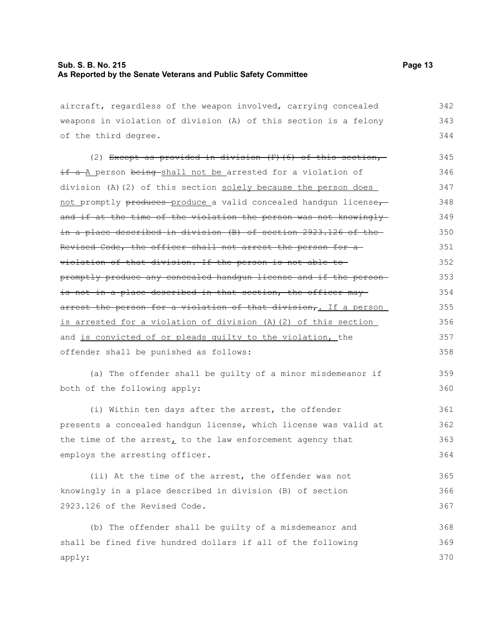# **Sub. S. B. No. 215 Page 13 As Reported by the Senate Veterans and Public Safety Committee**

| aircraft, regardless of the weapon involved, carrying concealed                     | 342 |
|-------------------------------------------------------------------------------------|-----|
| weapons in violation of division (A) of this section is a felony                    | 343 |
| of the third degree.                                                                | 344 |
| (2) Except as provided in division $(F)$ (6) of this section,                       | 345 |
| if a A person being shall not be arrested for a violation of                        | 346 |
| division (A)(2) of this section solely because the person does                      | 347 |
| not promptly produces-produce a valid concealed handgun license,                    | 348 |
| and if at the time of the violation the person was not knowingly                    | 349 |
| in a place described in division (B) of section 2923.126 of the                     | 350 |
| Revised Code, the officer shall not arrest the person for a                         | 351 |
| violation of that division. If the person is not able to-                           | 352 |
| promptly produce any concealed handgun license and if the person-                   | 353 |
| is not in a place described in that section, the officer may                        | 354 |
| arrest the person for a violation of that division,. If a person                    | 355 |
| is arrested for a violation of division (A) (2) of this section                     | 356 |
| and is convicted of or pleads guilty to the violation, the                          | 357 |
| offender shall be punished as follows:                                              | 358 |
| (a) The offender shall be guilty of a minor misdemeanor if                          | 359 |
| both of the following apply:                                                        | 360 |
| (i) Within ten days after the arrest, the offender                                  | 361 |
| presents a concealed handgun license, which license was valid at                    | 362 |
| the time of the arrest <sub><math>L</math></sub> to the law enforcement agency that | 363 |
| employs the arresting officer.                                                      | 364 |
| (ii) At the time of the arrest, the offender was not                                | 365 |
| knowingly in a place described in division (B) of section                           | 366 |
| 2923.126 of the Revised Code.                                                       | 367 |
| (b) The offender shall be guilty of a misdemeanor and                               | 368 |
| shall be fined five hundred dollars if all of the following                         | 369 |
| apply:                                                                              | 370 |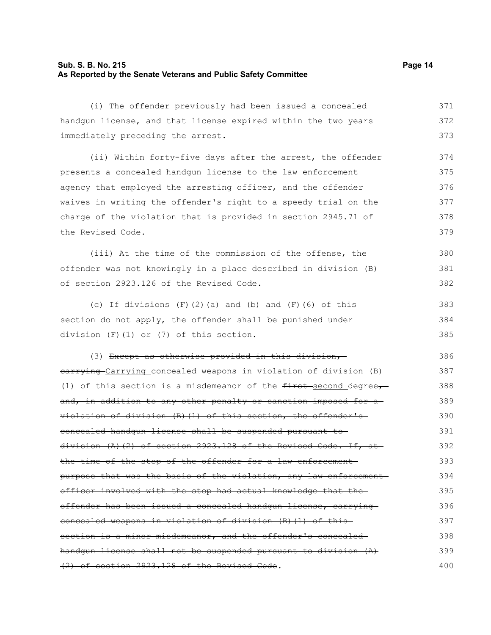# **Sub. S. B. No. 215 Page 14 As Reported by the Senate Veterans and Public Safety Committee**

| (i) The offender previously had been issued a concealed              | 371 |
|----------------------------------------------------------------------|-----|
| handgun license, and that license expired within the two years       | 372 |
| immediately preceding the arrest.                                    | 373 |
| (ii) Within forty-five days after the arrest, the offender           | 374 |
| presents a concealed handgun license to the law enforcement          | 375 |
| agency that employed the arresting officer, and the offender         | 376 |
| waives in writing the offender's right to a speedy trial on the      | 377 |
| charge of the violation that is provided in section 2945.71 of       | 378 |
| the Revised Code.                                                    | 379 |
| (iii) At the time of the commission of the offense, the              | 380 |
| offender was not knowingly in a place described in division (B)      | 381 |
| of section 2923.126 of the Revised Code.                             | 382 |
| (c) If divisions $(F)$ $(2)$ $(a)$ and $(b)$ and $(F)$ $(6)$ of this | 383 |
| section do not apply, the offender shall be punished under           | 384 |
| division $(F)$ $(1)$ or $(7)$ of this section.                       | 385 |
| (3) Except as otherwise provided in this division,                   | 386 |
| earrying Carrying concealed weapons in violation of division (B)     | 387 |
| (1) of this section is a misdemeanor of the $f$ irst-second degree,  | 388 |
| and, in addition to any other penalty or sanction imposed for a      | 389 |
| violation of division (B)(1) of this section, the offender's         | 390 |
| concealed handgun license shall be suspended pursuant to             | 391 |
| $division (A) (2) of section 2923.128 of the Revised Code. If, at-$  | 392 |
| the time of the stop of the offender for a law enforcement-          | 393 |
| purpose that was the basis of the violation, any law enforcement     | 394 |
| officer involved with the stop had actual knowledge that the         | 395 |
| offender has been issued a concealed handgun license, carrying       | 396 |
| eoncealed weapons in violation of division (B)(1) of this            | 397 |
| section is a minor misdemeanor, and the offender's concealed-        | 398 |
| handgun license shall not be suspended pursuant to division (A)      | 399 |
| (2) of section 2923.128 of the Revised Code.                         | 400 |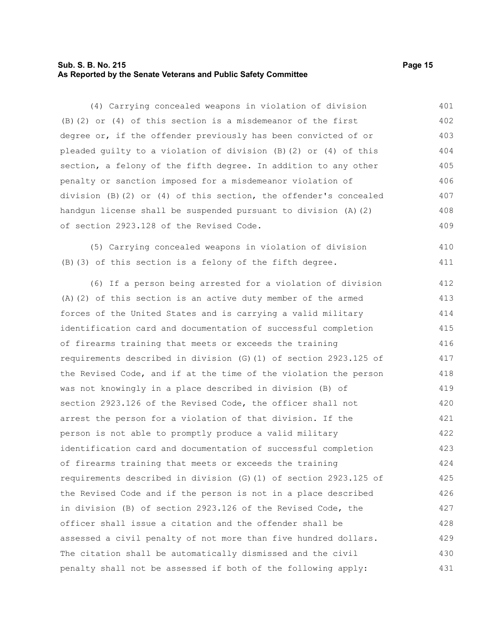# **Sub. S. B. No. 215 Page 15 As Reported by the Senate Veterans and Public Safety Committee**

(4) Carrying concealed weapons in violation of division (B)(2) or (4) of this section is a misdemeanor of the first degree or, if the offender previously has been convicted of or pleaded guilty to a violation of division (B)(2) or (4) of this section, a felony of the fifth degree. In addition to any other penalty or sanction imposed for a misdemeanor violation of division (B)(2) or (4) of this section, the offender's concealed handgun license shall be suspended pursuant to division (A)(2) of section 2923.128 of the Revised Code. 401 402 403 404 405 406 407 408 409

(5) Carrying concealed weapons in violation of division (B)(3) of this section is a felony of the fifth degree. 410 411

(6) If a person being arrested for a violation of division (A)(2) of this section is an active duty member of the armed forces of the United States and is carrying a valid military identification card and documentation of successful completion of firearms training that meets or exceeds the training requirements described in division (G)(1) of section 2923.125 of the Revised Code, and if at the time of the violation the person was not knowingly in a place described in division (B) of section 2923.126 of the Revised Code, the officer shall not arrest the person for a violation of that division. If the person is not able to promptly produce a valid military identification card and documentation of successful completion of firearms training that meets or exceeds the training requirements described in division (G)(1) of section 2923.125 of the Revised Code and if the person is not in a place described in division (B) of section 2923.126 of the Revised Code, the officer shall issue a citation and the offender shall be assessed a civil penalty of not more than five hundred dollars. The citation shall be automatically dismissed and the civil penalty shall not be assessed if both of the following apply: 412 413 414 415 416 417 418 419 420 421 422 423 424 425 426 427 428 429 430 431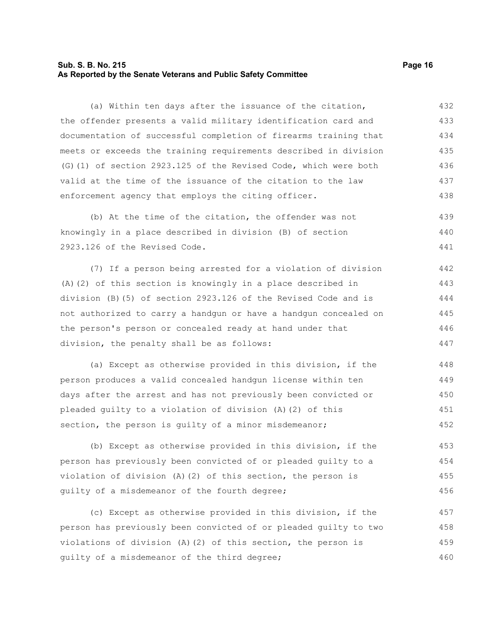# **Sub. S. B. No. 215 Page 16 As Reported by the Senate Veterans and Public Safety Committee**

(a) Within ten days after the issuance of the citation, the offender presents a valid military identification card and documentation of successful completion of firearms training that meets or exceeds the training requirements described in division (G)(1) of section 2923.125 of the Revised Code, which were both valid at the time of the issuance of the citation to the law enforcement agency that employs the citing officer. 432 433 434 435 436 437 438

(b) At the time of the citation, the offender was not knowingly in a place described in division (B) of section 2923.126 of the Revised Code. 439 440 441

(7) If a person being arrested for a violation of division (A)(2) of this section is knowingly in a place described in division (B)(5) of section 2923.126 of the Revised Code and is not authorized to carry a handgun or have a handgun concealed on the person's person or concealed ready at hand under that division, the penalty shall be as follows: 442 443 444 445 446 447

(a) Except as otherwise provided in this division, if the person produces a valid concealed handgun license within ten days after the arrest and has not previously been convicted or pleaded guilty to a violation of division (A)(2) of this section, the person is guilty of a minor misdemeanor; 448 449 450 451 452

(b) Except as otherwise provided in this division, if the person has previously been convicted of or pleaded guilty to a violation of division (A)(2) of this section, the person is guilty of a misdemeanor of the fourth degree; 453 454 455 456

(c) Except as otherwise provided in this division, if the person has previously been convicted of or pleaded guilty to two violations of division  $(A)$  (2) of this section, the person is guilty of a misdemeanor of the third degree; 457 458 459 460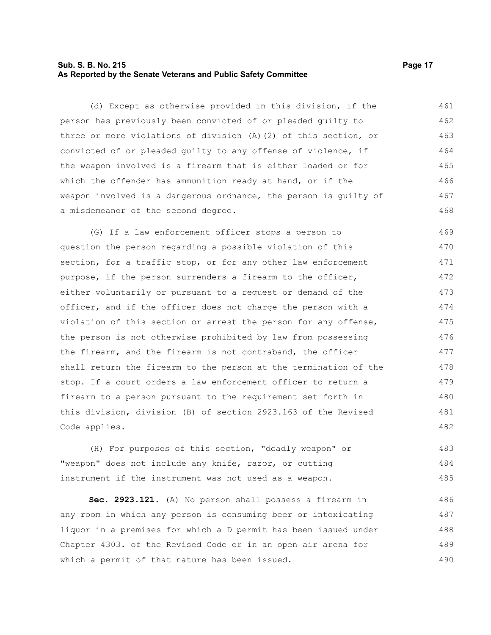# **Sub. S. B. No. 215 Page 17 As Reported by the Senate Veterans and Public Safety Committee**

(d) Except as otherwise provided in this division, if the person has previously been convicted of or pleaded guilty to three or more violations of division (A)(2) of this section, or convicted of or pleaded guilty to any offense of violence, if the weapon involved is a firearm that is either loaded or for which the offender has ammunition ready at hand, or if the weapon involved is a dangerous ordnance, the person is guilty of a misdemeanor of the second degree. 461 462 463 464 465 466 467 468

(G) If a law enforcement officer stops a person to question the person regarding a possible violation of this section, for a traffic stop, or for any other law enforcement purpose, if the person surrenders a firearm to the officer, either voluntarily or pursuant to a request or demand of the officer, and if the officer does not charge the person with a violation of this section or arrest the person for any offense, the person is not otherwise prohibited by law from possessing the firearm, and the firearm is not contraband, the officer shall return the firearm to the person at the termination of the stop. If a court orders a law enforcement officer to return a firearm to a person pursuant to the requirement set forth in this division, division (B) of section 2923.163 of the Revised Code applies. 469 470 471 472 473 474 475 476 477 478 479 480 481 482

(H) For purposes of this section, "deadly weapon" or "weapon" does not include any knife, razor, or cutting instrument if the instrument was not used as a weapon. 483 484 485

**Sec. 2923.121.** (A) No person shall possess a firearm in any room in which any person is consuming beer or intoxicating liquor in a premises for which a D permit has been issued under Chapter 4303. of the Revised Code or in an open air arena for which a permit of that nature has been issued. 486 487 488 489 490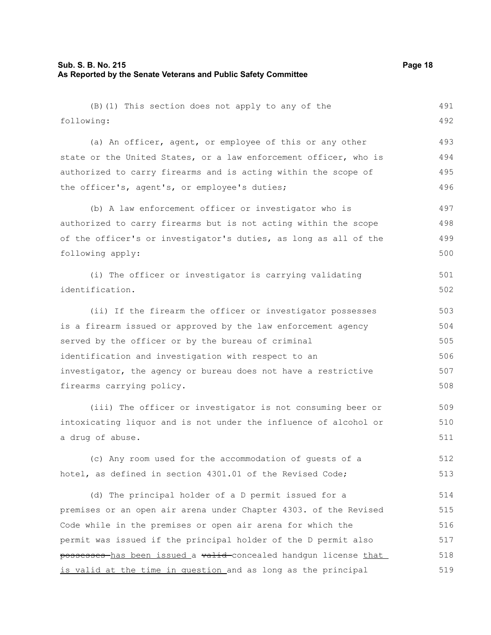| (B) (1) This section does not apply to any of the                | 491 |
|------------------------------------------------------------------|-----|
| following:                                                       | 492 |
| (a) An officer, agent, or employee of this or any other          | 493 |
| state or the United States, or a law enforcement officer, who is | 494 |
| authorized to carry firearms and is acting within the scope of   | 495 |
| the officer's, agent's, or employee's duties;                    | 496 |
| (b) A law enforcement officer or investigator who is             | 497 |
| authorized to carry firearms but is not acting within the scope  | 498 |
| of the officer's or investigator's duties, as long as all of the | 499 |
| following apply:                                                 | 500 |
| (i) The officer or investigator is carrying validating           | 501 |
| identification.                                                  | 502 |
| (ii) If the firearm the officer or investigator possesses        | 503 |
| is a firearm issued or approved by the law enforcement agency    | 504 |
| served by the officer or by the bureau of criminal               | 505 |
| identification and investigation with respect to an              | 506 |
| investigator, the agency or bureau does not have a restrictive   | 507 |
| firearms carrying policy.                                        | 508 |
| (iii) The officer or investigator is not consuming beer or       | 509 |
| intoxicating liquor and is not under the influence of alcohol or | 510 |
| a drug of abuse.                                                 | 511 |
| (c) Any room used for the accommodation of guests of a           | 512 |
| hotel, as defined in section 4301.01 of the Revised Code;        | 513 |
| (d) The principal holder of a D permit issued for a              | 514 |
| premises or an open air arena under Chapter 4303. of the Revised | 515 |
| Code while in the premises or open air arena for which the       | 516 |
| permit was issued if the principal holder of the D permit also   | 517 |
| possesses-has been issued a valid-concealed handgun license that | 518 |
| is valid at the time in question and as long as the principal    | 519 |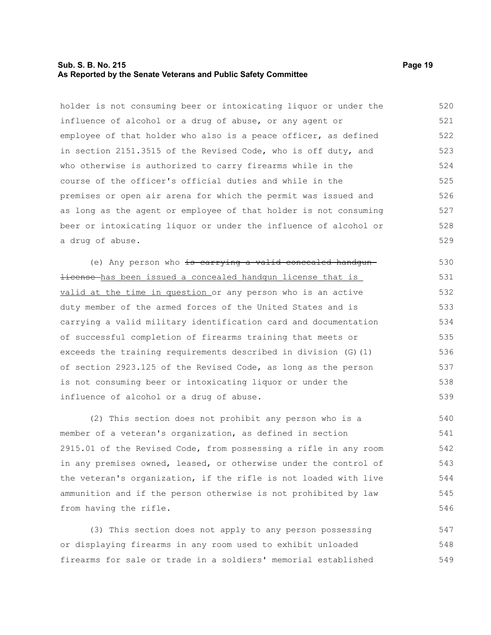## **Sub. S. B. No. 215 Page 19 As Reported by the Senate Veterans and Public Safety Committee**

holder is not consuming beer or intoxicating liquor or under the influence of alcohol or a drug of abuse, or any agent or employee of that holder who also is a peace officer, as defined in section 2151.3515 of the Revised Code, who is off duty, and who otherwise is authorized to carry firearms while in the course of the officer's official duties and while in the premises or open air arena for which the permit was issued and as long as the agent or employee of that holder is not consuming beer or intoxicating liquor or under the influence of alcohol or a drug of abuse. 520 521 522 523 524 525 526 527 528 529

(e) Any person who is carrying a valid concealed handgunlicense has been issued a concealed handgun license that is valid at the time in question or any person who is an active duty member of the armed forces of the United States and is carrying a valid military identification card and documentation of successful completion of firearms training that meets or exceeds the training requirements described in division (G)(1) of section 2923.125 of the Revised Code, as long as the person is not consuming beer or intoxicating liquor or under the influence of alcohol or a drug of abuse. 530 531 532 533 534 535 536 537 538 539

(2) This section does not prohibit any person who is a member of a veteran's organization, as defined in section 2915.01 of the Revised Code, from possessing a rifle in any room in any premises owned, leased, or otherwise under the control of the veteran's organization, if the rifle is not loaded with live ammunition and if the person otherwise is not prohibited by law from having the rifle. 540 541 542 543 544 545 546

(3) This section does not apply to any person possessing or displaying firearms in any room used to exhibit unloaded firearms for sale or trade in a soldiers' memorial established 547 548 549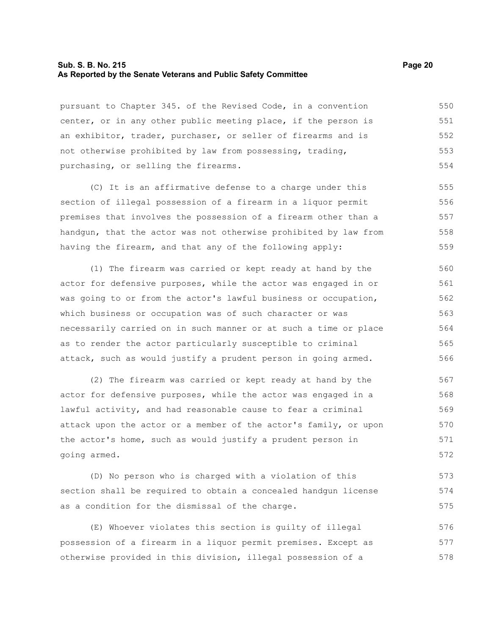### **Sub. S. B. No. 215 Page 20 As Reported by the Senate Veterans and Public Safety Committee**

pursuant to Chapter 345. of the Revised Code, in a convention center, or in any other public meeting place, if the person is an exhibitor, trader, purchaser, or seller of firearms and is not otherwise prohibited by law from possessing, trading, purchasing, or selling the firearms. 550 551 552 553 554

(C) It is an affirmative defense to a charge under this section of illegal possession of a firearm in a liquor permit premises that involves the possession of a firearm other than a handgun, that the actor was not otherwise prohibited by law from having the firearm, and that any of the following apply: 555 556 557 558 559

(1) The firearm was carried or kept ready at hand by the actor for defensive purposes, while the actor was engaged in or was going to or from the actor's lawful business or occupation, which business or occupation was of such character or was necessarily carried on in such manner or at such a time or place as to render the actor particularly susceptible to criminal attack, such as would justify a prudent person in going armed. 560 561 562 563 564 565 566

(2) The firearm was carried or kept ready at hand by the actor for defensive purposes, while the actor was engaged in a lawful activity, and had reasonable cause to fear a criminal attack upon the actor or a member of the actor's family, or upon the actor's home, such as would justify a prudent person in going armed. 567 568 569 570 571 572

(D) No person who is charged with a violation of this section shall be required to obtain a concealed handgun license as a condition for the dismissal of the charge. 573 574 575

(E) Whoever violates this section is guilty of illegal possession of a firearm in a liquor permit premises. Except as otherwise provided in this division, illegal possession of a 576 577 578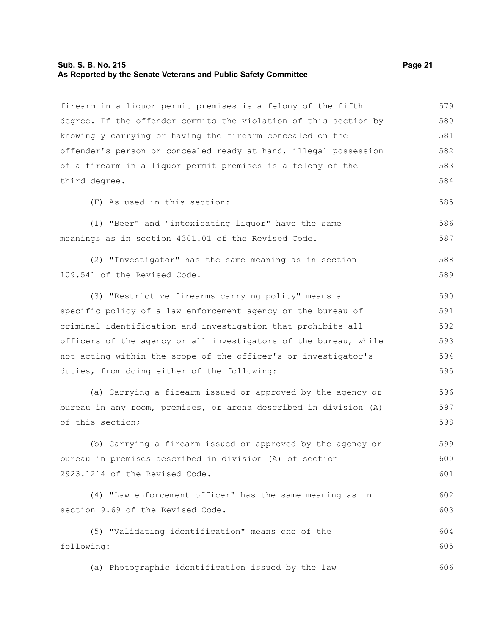#### **Sub. S. B. No. 215 Page 21 As Reported by the Senate Veterans and Public Safety Committee**

firearm in a liquor permit premises is a felony of the fifth degree. If the offender commits the violation of this section by knowingly carrying or having the firearm concealed on the offender's person or concealed ready at hand, illegal possession of a firearm in a liquor permit premises is a felony of the third degree. 579 580 581 582 583 584

(F) As used in this section:

(1) "Beer" and "intoxicating liquor" have the same meanings as in section 4301.01 of the Revised Code. 586 587

(2) "Investigator" has the same meaning as in section 109.541 of the Revised Code. 588 589

(3) "Restrictive firearms carrying policy" means a specific policy of a law enforcement agency or the bureau of criminal identification and investigation that prohibits all officers of the agency or all investigators of the bureau, while not acting within the scope of the officer's or investigator's duties, from doing either of the following: 590 591 592 593 594 595

(a) Carrying a firearm issued or approved by the agency or bureau in any room, premises, or arena described in division (A) of this section; 596 597 598

(b) Carrying a firearm issued or approved by the agency or bureau in premises described in division (A) of section 2923.1214 of the Revised Code. 599 600 601

(4) "Law enforcement officer" has the same meaning as in section 9.69 of the Revised Code. 602 603

(5) "Validating identification" means one of the following: 604 605

(a) Photographic identification issued by the law

585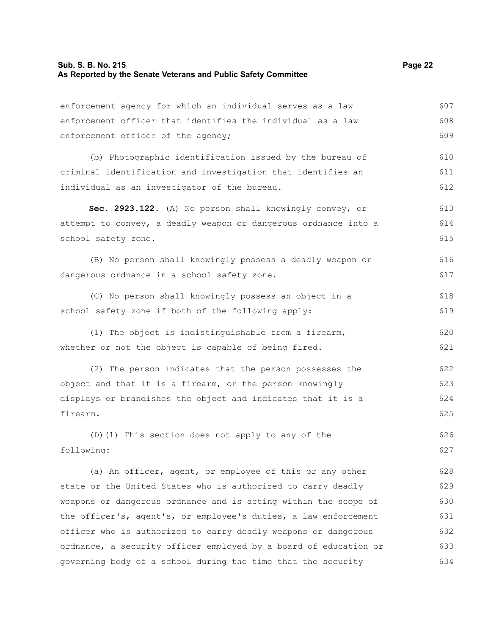# **Sub. S. B. No. 215 Page 22 As Reported by the Senate Veterans and Public Safety Committee**

| enforcement agency for which an individual serves as a law       | 607 |
|------------------------------------------------------------------|-----|
| enforcement officer that identifies the individual as a law      | 608 |
| enforcement officer of the agency;                               | 609 |
| (b) Photographic identification issued by the bureau of          | 610 |
| criminal identification and investigation that identifies an     | 611 |
| individual as an investigator of the bureau.                     | 612 |
| Sec. 2923.122. (A) No person shall knowingly convey, or          | 613 |
| attempt to convey, a deadly weapon or dangerous ordnance into a  | 614 |
| school safety zone.                                              | 615 |
| (B) No person shall knowingly possess a deadly weapon or         | 616 |
| dangerous ordnance in a school safety zone.                      | 617 |
| (C) No person shall knowingly possess an object in a             | 618 |
| school safety zone if both of the following apply:               | 619 |
| (1) The object is indistinguishable from a firearm,              | 620 |
| whether or not the object is capable of being fired.             | 621 |
| (2) The person indicates that the person possesses the           | 622 |
| object and that it is a firearm, or the person knowingly         | 623 |
| displays or brandishes the object and indicates that it is a     | 624 |
| firearm.                                                         | 625 |
| (D) (1) This section does not apply to any of the                | 626 |
| following:                                                       | 627 |
| (a) An officer, agent, or employee of this or any other          | 628 |
| state or the United States who is authorized to carry deadly     | 629 |
| weapons or dangerous ordnance and is acting within the scope of  | 630 |
| the officer's, agent's, or employee's duties, a law enforcement  | 631 |
| officer who is authorized to carry deadly weapons or dangerous   | 632 |
| ordnance, a security officer employed by a board of education or | 633 |
| governing body of a school during the time that the security     | 634 |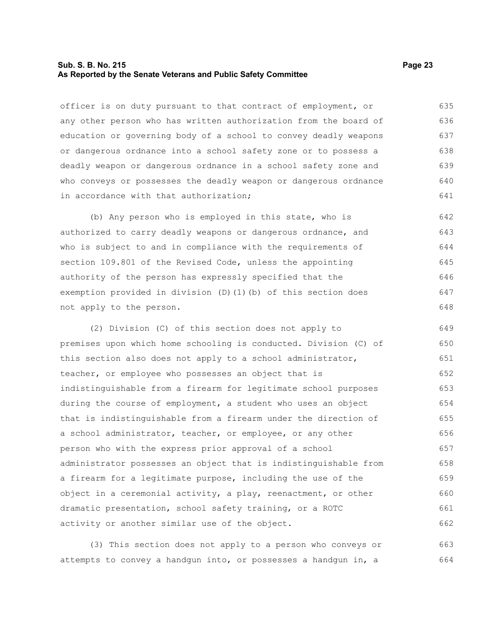### **Sub. S. B. No. 215 Page 23 As Reported by the Senate Veterans and Public Safety Committee**

officer is on duty pursuant to that contract of employment, or any other person who has written authorization from the board of education or governing body of a school to convey deadly weapons or dangerous ordnance into a school safety zone or to possess a deadly weapon or dangerous ordnance in a school safety zone and who conveys or possesses the deadly weapon or dangerous ordnance in accordance with that authorization; 635 636 637 638 639 640 641

(b) Any person who is employed in this state, who is authorized to carry deadly weapons or dangerous ordnance, and who is subject to and in compliance with the requirements of section 109.801 of the Revised Code, unless the appointing authority of the person has expressly specified that the exemption provided in division (D)(1)(b) of this section does not apply to the person. 642 643 644 645 646 647 648

(2) Division (C) of this section does not apply to premises upon which home schooling is conducted. Division (C) of this section also does not apply to a school administrator, teacher, or employee who possesses an object that is indistinguishable from a firearm for legitimate school purposes during the course of employment, a student who uses an object that is indistinguishable from a firearm under the direction of a school administrator, teacher, or employee, or any other person who with the express prior approval of a school administrator possesses an object that is indistinguishable from a firearm for a legitimate purpose, including the use of the object in a ceremonial activity, a play, reenactment, or other dramatic presentation, school safety training, or a ROTC activity or another similar use of the object. 649 650 651 652 653 654 655 656 657 658 659 660 661 662

(3) This section does not apply to a person who conveys or attempts to convey a handgun into, or possesses a handgun in, a 663 664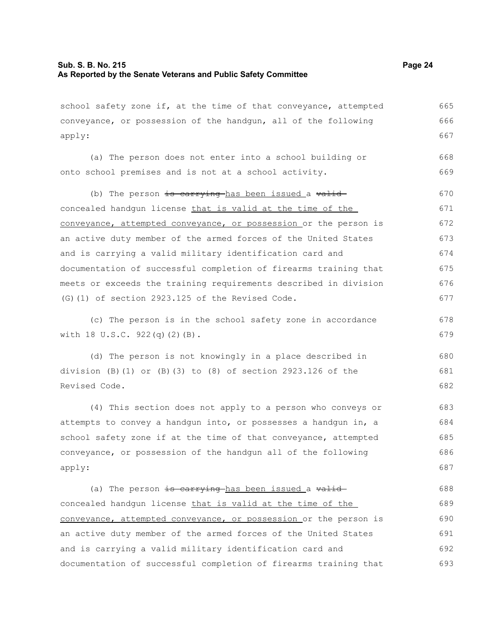| school safety zone if, at the time of that conveyance, attempted | 665 |
|------------------------------------------------------------------|-----|
| conveyance, or possession of the handgun, all of the following   | 666 |
| apply:                                                           | 667 |
| (a) The person does not enter into a school building or          | 668 |
| onto school premises and is not at a school activity.            | 669 |
| (b) The person is carrying has been issued a valid               | 670 |
| concealed handgun license that is valid at the time of the       | 671 |
| conveyance, attempted conveyance, or possession or the person is | 672 |
| an active duty member of the armed forces of the United States   | 673 |
| and is carrying a valid military identification card and         | 674 |
| documentation of successful completion of firearms training that | 675 |
| meets or exceeds the training requirements described in division | 676 |
| (G) (1) of section 2923.125 of the Revised Code.                 | 677 |
| (c) The person is in the school safety zone in accordance        | 678 |
| with 18 U.S.C. 922(q)(2)(B).                                     | 679 |
| (d) The person is not knowingly in a place described in          | 680 |
| division (B)(1) or (B)(3) to (8) of section $2923.126$ of the    | 681 |
| Revised Code.                                                    | 682 |
| (4) This section does not apply to a person who conveys or       | 683 |
| attempts to convey a handqun into, or possesses a handqun in, a  | 684 |
| school safety zone if at the time of that conveyance, attempted  | 685 |
| conveyance, or possession of the handgun all of the following    | 686 |
| apply:                                                           | 687 |
| (a) The person is carrying has been issued a valid               | 688 |
| concealed handgun license that is valid at the time of the       | 689 |
| conveyance, attempted conveyance, or possession or the person is | 690 |
| an active duty member of the armed forces of the United States   | 691 |
| and is carrying a valid military identification card and         | 692 |
| documentation of successful completion of firearms training that | 693 |
|                                                                  |     |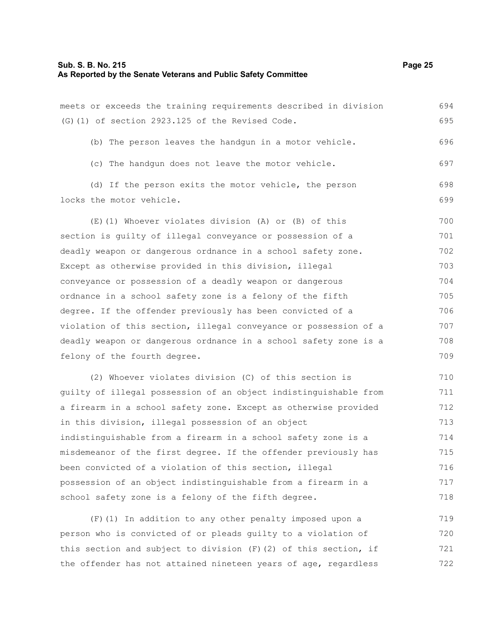| meets or exceeds the training requirements described in division | 694 |
|------------------------------------------------------------------|-----|
| (G) (1) of section 2923.125 of the Revised Code.                 | 695 |
| (b) The person leaves the handgun in a motor vehicle.            | 696 |
| (c) The handgun does not leave the motor vehicle.                | 697 |
| (d) If the person exits the motor vehicle, the person            | 698 |
| locks the motor vehicle.                                         | 699 |
| (E)(1) Whoever violates division (A) or (B) of this              | 700 |
| section is guilty of illegal conveyance or possession of a       | 701 |
| deadly weapon or dangerous ordnance in a school safety zone.     | 702 |
| Except as otherwise provided in this division, illegal           | 703 |
| conveyance or possession of a deadly weapon or dangerous         | 704 |
| ordnance in a school safety zone is a felony of the fifth        | 705 |
| degree. If the offender previously has been convicted of a       | 706 |
| violation of this section, illegal conveyance or possession of a | 707 |
| deadly weapon or dangerous ordnance in a school safety zone is a | 708 |
| felony of the fourth degree.                                     | 709 |
| (2) Whoever violates division (C) of this section is             | 710 |
| quilty of illegal possession of an object indistinguishable from | 711 |
| a firearm in a school safety zone. Except as otherwise provided  | 712 |
| in this division, illegal possession of an object                | 713 |
| indistinguishable from a firearm in a school safety zone is a    | 714 |
| misdemeanor of the first degree. If the offender previously has  | 715 |
| been convicted of a violation of this section, illegal           | 716 |
| possession of an object indistinguishable from a firearm in a    | 717 |
| school safety zone is a felony of the fifth degree.              | 718 |

(F)(1) In addition to any other penalty imposed upon a person who is convicted of or pleads guilty to a violation of this section and subject to division (F)(2) of this section, if the offender has not attained nineteen years of age, regardless 719 720 721 722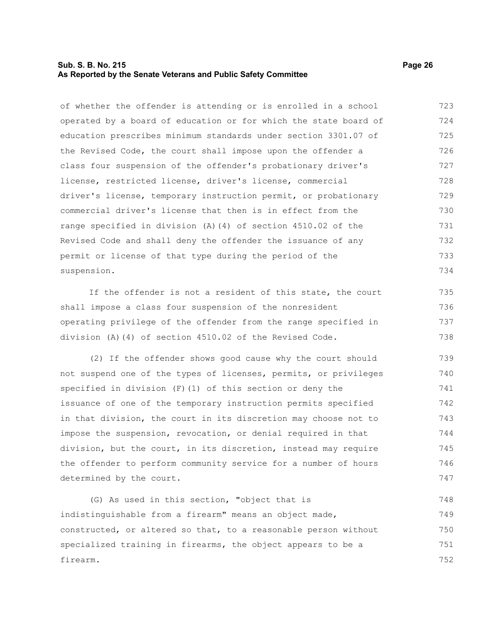### **Sub. S. B. No. 215 Page 26 As Reported by the Senate Veterans and Public Safety Committee**

of whether the offender is attending or is enrolled in a school operated by a board of education or for which the state board of education prescribes minimum standards under section 3301.07 of the Revised Code, the court shall impose upon the offender a class four suspension of the offender's probationary driver's license, restricted license, driver's license, commercial driver's license, temporary instruction permit, or probationary commercial driver's license that then is in effect from the range specified in division (A)(4) of section 4510.02 of the Revised Code and shall deny the offender the issuance of any permit or license of that type during the period of the suspension. 723 724 725 726 727 728 729 730 731 732 733 734

If the offender is not a resident of this state, the court shall impose a class four suspension of the nonresident operating privilege of the offender from the range specified in division (A)(4) of section 4510.02 of the Revised Code.

(2) If the offender shows good cause why the court should not suspend one of the types of licenses, permits, or privileges specified in division (F)(1) of this section or deny the issuance of one of the temporary instruction permits specified in that division, the court in its discretion may choose not to impose the suspension, revocation, or denial required in that division, but the court, in its discretion, instead may require the offender to perform community service for a number of hours determined by the court. 739 740 741 742 743 744 745 746 747

(G) As used in this section, "object that is indistinguishable from a firearm" means an object made, constructed, or altered so that, to a reasonable person without specialized training in firearms, the object appears to be a firearm. 748 749 750 751 752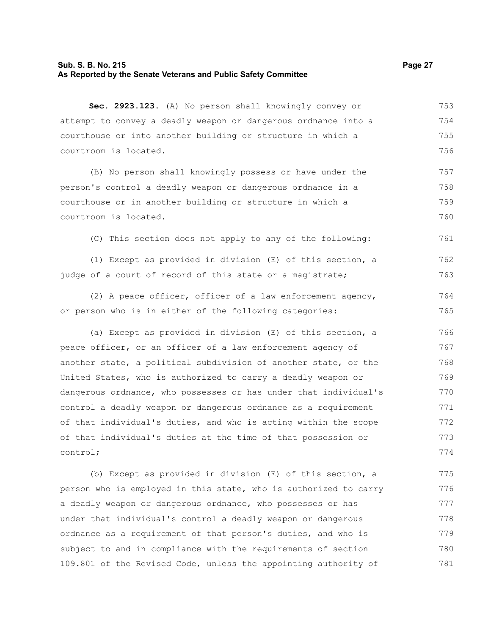# **Sub. S. B. No. 215 Page 27 As Reported by the Senate Veterans and Public Safety Committee**

781

| Sec. 2923.123. (A) No person shall knowingly convey or           | 753 |
|------------------------------------------------------------------|-----|
| attempt to convey a deadly weapon or dangerous ordnance into a   | 754 |
| courthouse or into another building or structure in which a      | 755 |
| courtroom is located.                                            | 756 |
| (B) No person shall knowingly possess or have under the          | 757 |
| person's control a deadly weapon or dangerous ordnance in a      | 758 |
| courthouse or in another building or structure in which a        | 759 |
| courtroom is located.                                            | 760 |
| (C) This section does not apply to any of the following:         | 761 |
| (1) Except as provided in division (E) of this section, a        | 762 |
| judge of a court of record of this state or a magistrate;        | 763 |
| (2) A peace officer, officer of a law enforcement agency,        | 764 |
| or person who is in either of the following categories:          | 765 |
| (a) Except as provided in division (E) of this section, a        | 766 |
| peace officer, or an officer of a law enforcement agency of      | 767 |
| another state, a political subdivision of another state, or the  | 768 |
| United States, who is authorized to carry a deadly weapon or     | 769 |
| dangerous ordnance, who possesses or has under that individual's | 770 |
| control a deadly weapon or dangerous ordnance as a requirement   | 771 |
| of that individual's duties, and who is acting within the scope  | 772 |
| of that individual's duties at the time of that possession or    | 773 |
| control;                                                         | 774 |
| (b) Except as provided in division (E) of this section, a        | 775 |
| person who is employed in this state, who is authorized to carry | 776 |
| a deadly weapon or dangerous ordnance, who possesses or has      | 777 |
| under that individual's control a deadly weapon or dangerous     | 778 |
| ordnance as a requirement of that person's duties, and who is    | 779 |
| subject to and in compliance with the requirements of section    | 780 |

109.801 of the Revised Code, unless the appointing authority of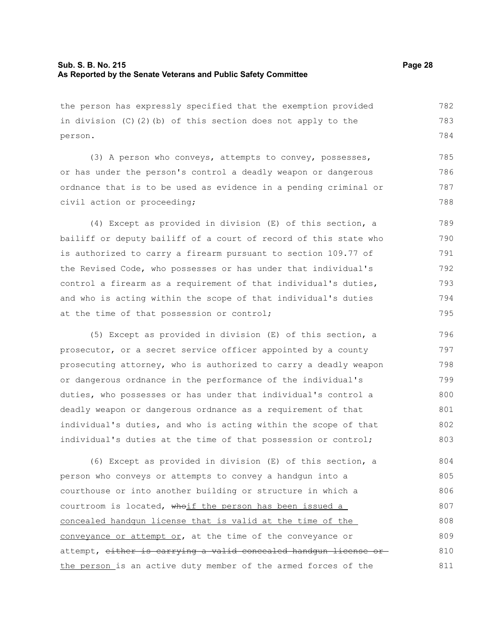# **Sub. S. B. No. 215 Page 28 As Reported by the Senate Veterans and Public Safety Committee**

the person has expressly specified that the exemption provided in division (C)(2)(b) of this section does not apply to the person. 782 783 784

(3) A person who conveys, attempts to convey, possesses, or has under the person's control a deadly weapon or dangerous ordnance that is to be used as evidence in a pending criminal or civil action or proceeding; 785 786 787 788

(4) Except as provided in division (E) of this section, a bailiff or deputy bailiff of a court of record of this state who is authorized to carry a firearm pursuant to section 109.77 of the Revised Code, who possesses or has under that individual's control a firearm as a requirement of that individual's duties, and who is acting within the scope of that individual's duties at the time of that possession or control; 789 790 791 792 793 794 795

(5) Except as provided in division (E) of this section, a prosecutor, or a secret service officer appointed by a county prosecuting attorney, who is authorized to carry a deadly weapon or dangerous ordnance in the performance of the individual's duties, who possesses or has under that individual's control a deadly weapon or dangerous ordnance as a requirement of that individual's duties, and who is acting within the scope of that individual's duties at the time of that possession or control; 796 797 798 799 800 801 802 803

(6) Except as provided in division (E) of this section, a person who conveys or attempts to convey a handgun into a courthouse or into another building or structure in which a courtroom is located, whoif the person has been issued a concealed handgun license that is valid at the time of the conveyance or attempt  $or$ , at the time of the conveyance or attempt, either is carrying a valid concealed handgun license or the person is an active duty member of the armed forces of the 804 805 806 807 808 809 810 811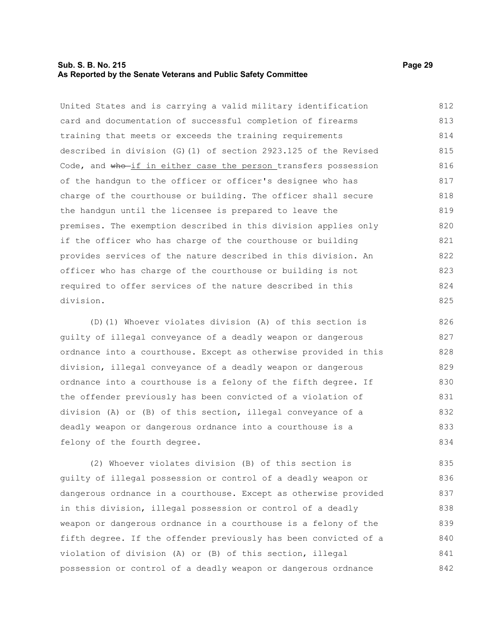## **Sub. S. B. No. 215 Page 29 As Reported by the Senate Veterans and Public Safety Committee**

United States and is carrying a valid military identification card and documentation of successful completion of firearms training that meets or exceeds the training requirements described in division (G)(1) of section 2923.125 of the Revised Code, and who-if in either case the person transfers possession of the handgun to the officer or officer's designee who has charge of the courthouse or building. The officer shall secure the handgun until the licensee is prepared to leave the premises. The exemption described in this division applies only if the officer who has charge of the courthouse or building provides services of the nature described in this division. An officer who has charge of the courthouse or building is not required to offer services of the nature described in this division. 812 813 814 815 816 817 818 819 820 821 822 823 824 825

(D)(1) Whoever violates division (A) of this section is guilty of illegal conveyance of a deadly weapon or dangerous ordnance into a courthouse. Except as otherwise provided in this division, illegal conveyance of a deadly weapon or dangerous ordnance into a courthouse is a felony of the fifth degree. If the offender previously has been convicted of a violation of division (A) or (B) of this section, illegal conveyance of a deadly weapon or dangerous ordnance into a courthouse is a felony of the fourth degree. 826 827 828 829 830 831 832 833 834

(2) Whoever violates division (B) of this section is guilty of illegal possession or control of a deadly weapon or dangerous ordnance in a courthouse. Except as otherwise provided in this division, illegal possession or control of a deadly weapon or dangerous ordnance in a courthouse is a felony of the fifth degree. If the offender previously has been convicted of a violation of division (A) or (B) of this section, illegal possession or control of a deadly weapon or dangerous ordnance 835 836 837 838 839 840 841 842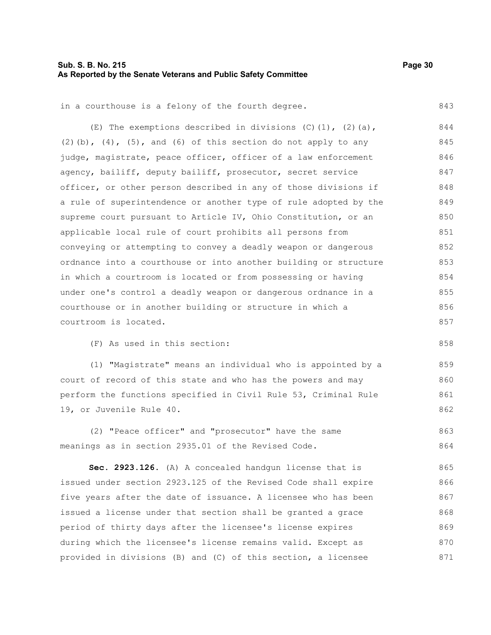# **Sub. S. B. No. 215 Page 30 As Reported by the Senate Veterans and Public Safety Committee**

843

858

in a courthouse is a felony of the fourth degree.

(E) The exemptions described in divisions  $(C)$   $(1)$ ,  $(2)$   $(a)$ ,  $(2)$  (b),  $(4)$ ,  $(5)$ , and  $(6)$  of this section do not apply to any judge, magistrate, peace officer, officer of a law enforcement agency, bailiff, deputy bailiff, prosecutor, secret service officer, or other person described in any of those divisions if a rule of superintendence or another type of rule adopted by the supreme court pursuant to Article IV, Ohio Constitution, or an applicable local rule of court prohibits all persons from conveying or attempting to convey a deadly weapon or dangerous ordnance into a courthouse or into another building or structure in which a courtroom is located or from possessing or having under one's control a deadly weapon or dangerous ordnance in a courthouse or in another building or structure in which a courtroom is located. 844 845 846 847 848 849 850 851 852 853 854 855 856 857

(F) As used in this section:

(1) "Magistrate" means an individual who is appointed by a court of record of this state and who has the powers and may perform the functions specified in Civil Rule 53, Criminal Rule 19, or Juvenile Rule 40.

(2) "Peace officer" and "prosecutor" have the same meanings as in section 2935.01 of the Revised Code. 863 864

**Sec. 2923.126.** (A) A concealed handgun license that is issued under section 2923.125 of the Revised Code shall expire five years after the date of issuance. A licensee who has been issued a license under that section shall be granted a grace period of thirty days after the licensee's license expires during which the licensee's license remains valid. Except as provided in divisions (B) and (C) of this section, a licensee 865 866 867 868 869 870 871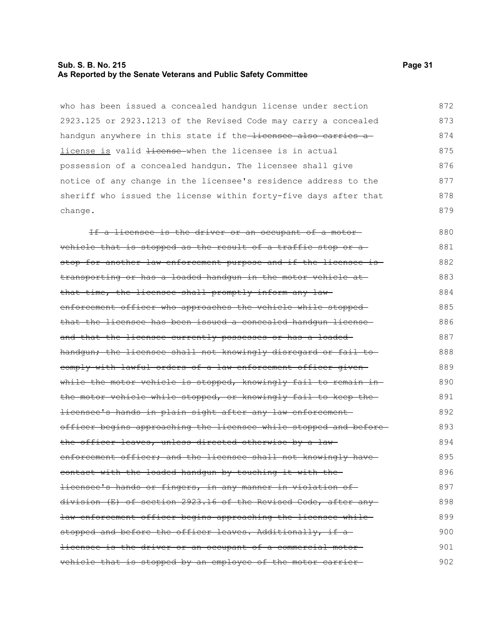# **Sub. S. B. No. 215 Page 31 As Reported by the Senate Veterans and Public Safety Committee**

who has been issued a concealed handgun license under section 2923.125 or 2923.1213 of the Revised Code may carry a concealed handgun anywhere in this state if the licensee also carries a license is valid <del>license</del>-when the licensee is in actual possession of a concealed handgun. The licensee shall give notice of any change in the licensee's residence address to the sheriff who issued the license within forty-five days after that change. 872 873 874 875 876 877 878 879

If a licensee is the driver or an occupant of a motorvehicle that is stopped as the result of a traffic stop stop for another law enforcement purpose and if the licensee is transporting or has a loaded handgun in the motor vehicle at that time, the licensee shall promptly inform any lawenforcement officer who approaches the vehicle while stopped that the licensee has been issued a concealed handgun license and that the licensee currently possesses or has a loaded handgun; the licensee shall not knowingly disregard or fail to comply with lawful orders of a law enforcement officer given while the motor vehicle is stopped, knowingly fail to remain in the motor vehicle while stopped, or knowingly fail to keep the licensee's hands in plain sight after any law enforcement officer begins approaching the licensee while stopped and before the officer leaves, unless directed otherwise by a lawenforcement officer; and the licensee shall not knowingly havecontact with the loaded handgun by touching it with licensee's hands or fingers, in any manner in violation of division (E) of section 2923.16 of the Revised Code, after any law enforcement officer begins approaching the licensee while stopped and before the officer leaves. Additionally, if alicensee is the driver or an occupant of a commercial motor vehicle that is stopped by an employee of the motor carrier 880 881 882 883 884 885 886 887 888 889 890 891 892 893 894 895 896 897 898 899 900 901 902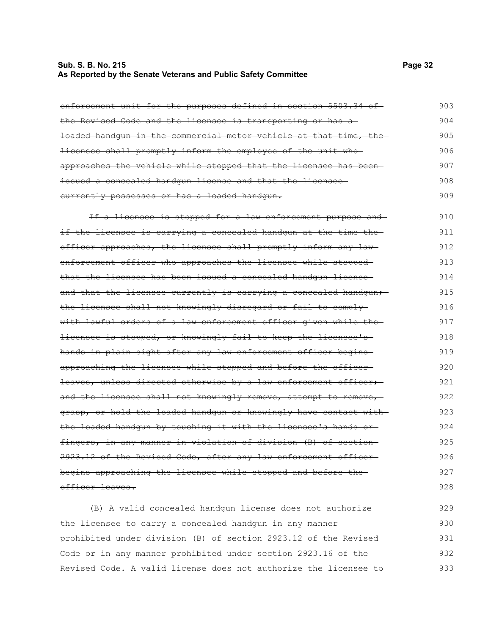# **Sub. S. B. No. 215 Page 32 As Reported by the Senate Veterans and Public Safety Committee**

| the Revised Code and the licensee is transporting or has a<br>loaded handgun in the commercial motor vehicle at that time, the<br>licensee shall promptly inform the employee of the unit who-<br>approaches the vehicle while stopped that the licensee has been<br>issued a concealed handqun license and that the licensee-<br>currently possesses or has a loaded handgun. | 904<br>905<br>906<br>907<br>908<br>909 |
|--------------------------------------------------------------------------------------------------------------------------------------------------------------------------------------------------------------------------------------------------------------------------------------------------------------------------------------------------------------------------------|----------------------------------------|
|                                                                                                                                                                                                                                                                                                                                                                                |                                        |
|                                                                                                                                                                                                                                                                                                                                                                                |                                        |
|                                                                                                                                                                                                                                                                                                                                                                                |                                        |
|                                                                                                                                                                                                                                                                                                                                                                                |                                        |
|                                                                                                                                                                                                                                                                                                                                                                                |                                        |
|                                                                                                                                                                                                                                                                                                                                                                                |                                        |
| If a licensee is stopped for a law enforcement purpose and                                                                                                                                                                                                                                                                                                                     | 910                                    |
| if the licensee is carrying a concealed handgun at the time the-                                                                                                                                                                                                                                                                                                               | 911                                    |
| officer approaches, the licensee shall promptly inform any law-                                                                                                                                                                                                                                                                                                                | 912                                    |
| enforcement officer who approaches the licensee while stopped-                                                                                                                                                                                                                                                                                                                 | 913                                    |
| that the licensee has been issued a concealed handqun license                                                                                                                                                                                                                                                                                                                  | 914                                    |
| and that the licensee currently is carrying a concealed handgun;                                                                                                                                                                                                                                                                                                               | 915                                    |
| the licensee shall not knowingly disregard or fail to comply-                                                                                                                                                                                                                                                                                                                  | 916                                    |
| with lawful orders of a law enforcement officer given while the-                                                                                                                                                                                                                                                                                                               | 917                                    |
| licensee is stopped, or knowingly fail to keep the licensee's                                                                                                                                                                                                                                                                                                                  | 918                                    |
| hands in plain sight after any law enforcement officer begins-                                                                                                                                                                                                                                                                                                                 | 919                                    |
| approaching the licensee while stopped and before the officer-                                                                                                                                                                                                                                                                                                                 | 920                                    |
| leaves, unless directed otherwise by a law enforcement officer;                                                                                                                                                                                                                                                                                                                | 921                                    |
| and the licensee shall not knowingly remove, attempt to remove,                                                                                                                                                                                                                                                                                                                | 922                                    |
| grasp, or hold the loaded handgun or knowingly have contact with                                                                                                                                                                                                                                                                                                               | 923                                    |
| the loaded handgun by touching it with the licensee's hands or-                                                                                                                                                                                                                                                                                                                | 924                                    |
| fingers, in any manner in violation of division (B) of section-                                                                                                                                                                                                                                                                                                                | 925                                    |
| 2923.12 of the Revised Code, after any law enforcement officer-                                                                                                                                                                                                                                                                                                                | 926                                    |
| begins approaching the licensee while stopped and before the                                                                                                                                                                                                                                                                                                                   | 927                                    |
| officer leaves.                                                                                                                                                                                                                                                                                                                                                                | 928                                    |

(B) A valid concealed handgun license does not authorize the licensee to carry a concealed handgun in any manner prohibited under division (B) of section 2923.12 of the Revised Code or in any manner prohibited under section 2923.16 of the Revised Code. A valid license does not authorize the licensee to 929 930 931 932 933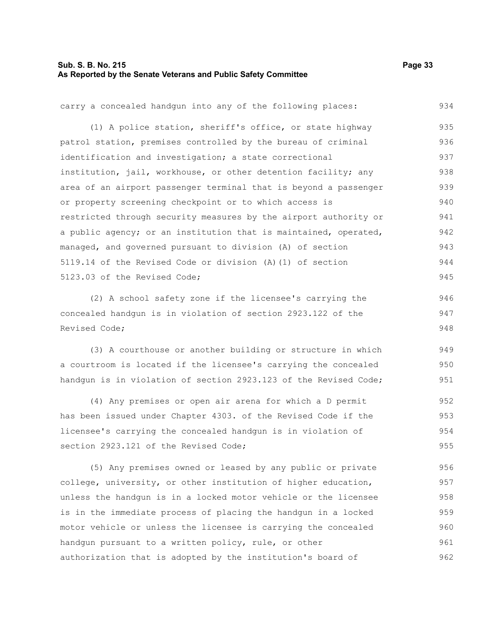# **Sub. S. B. No. 215 Page 33 As Reported by the Senate Veterans and Public Safety Committee**

934

946 947 948

949 950 951

carry a concealed handgun into any of the following places:

(1) A police station, sheriff's office, or state highway patrol station, premises controlled by the bureau of criminal identification and investigation; a state correctional institution, jail, workhouse, or other detention facility; any area of an airport passenger terminal that is beyond a passenger or property screening checkpoint or to which access is restricted through security measures by the airport authority or a public agency; or an institution that is maintained, operated, managed, and governed pursuant to division (A) of section 5119.14 of the Revised Code or division (A)(1) of section 5123.03 of the Revised Code; 935 936 937 938 939 940 941 942 943 944 945

(2) A school safety zone if the licensee's carrying the concealed handgun is in violation of section 2923.122 of the Revised Code;

(3) A courthouse or another building or structure in which a courtroom is located if the licensee's carrying the concealed handgun is in violation of section 2923.123 of the Revised Code;

(4) Any premises or open air arena for which a D permit has been issued under Chapter 4303. of the Revised Code if the licensee's carrying the concealed handgun is in violation of section 2923.121 of the Revised Code; 952 953 954 955

(5) Any premises owned or leased by any public or private college, university, or other institution of higher education, unless the handgun is in a locked motor vehicle or the licensee is in the immediate process of placing the handgun in a locked motor vehicle or unless the licensee is carrying the concealed handgun pursuant to a written policy, rule, or other authorization that is adopted by the institution's board of 956 957 958 959 960 961 962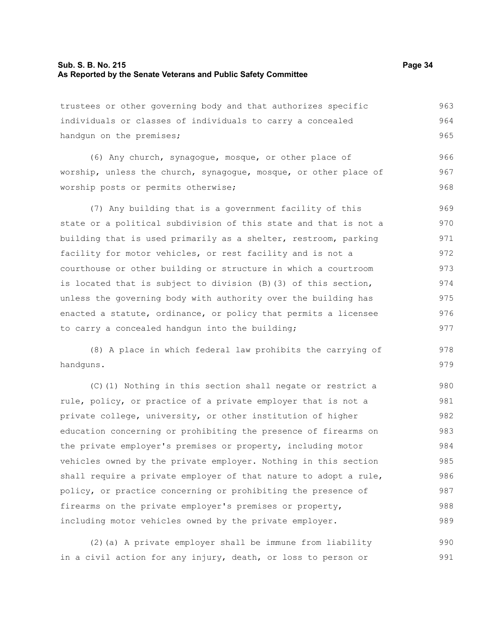# **Sub. S. B. No. 215 Page 34 As Reported by the Senate Veterans and Public Safety Committee**

trustees or other governing body and that authorizes specific individuals or classes of individuals to carry a concealed handgun on the premises; (6) Any church, synagogue, mosque, or other place of worship, unless the church, synagogue, mosque, or other place of worship posts or permits otherwise; (7) Any building that is a government facility of this state or a political subdivision of this state and that is not a building that is used primarily as a shelter, restroom, parking facility for motor vehicles, or rest facility and is not a courthouse or other building or structure in which a courtroom is located that is subject to division (B)(3) of this section, unless the governing body with authority over the building has enacted a statute, ordinance, or policy that permits a licensee to carry a concealed handgun into the building; (8) A place in which federal law prohibits the carrying of handguns. (C)(1) Nothing in this section shall negate or restrict a 963 964 965 966 967 968 969 970 971 972 973 974 975 976 977 978 979 980

rule, policy, or practice of a private employer that is not a private college, university, or other institution of higher education concerning or prohibiting the presence of firearms on the private employer's premises or property, including motor vehicles owned by the private employer. Nothing in this section shall require a private employer of that nature to adopt a rule, policy, or practice concerning or prohibiting the presence of firearms on the private employer's premises or property, including motor vehicles owned by the private employer. 981 982 983 984 985 986 987 988 989

(2)(a) A private employer shall be immune from liability in a civil action for any injury, death, or loss to person or 990 991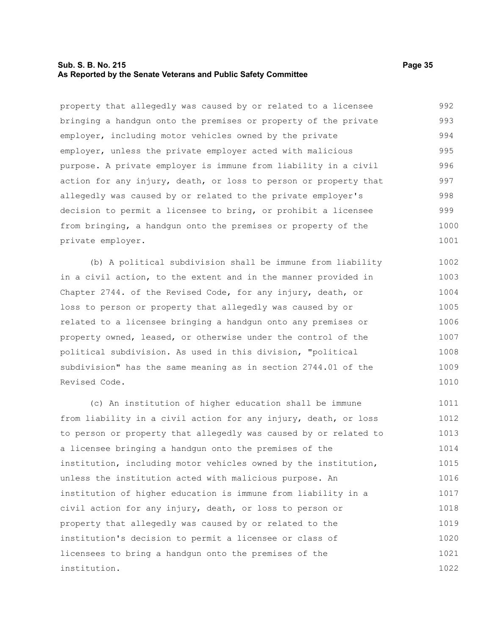### **Sub. S. B. No. 215 Page 35 As Reported by the Senate Veterans and Public Safety Committee**

property that allegedly was caused by or related to a licensee bringing a handgun onto the premises or property of the private employer, including motor vehicles owned by the private employer, unless the private employer acted with malicious purpose. A private employer is immune from liability in a civil action for any injury, death, or loss to person or property that allegedly was caused by or related to the private employer's decision to permit a licensee to bring, or prohibit a licensee from bringing, a handgun onto the premises or property of the private employer. 992 993 994 995 996 997 998 999 1000 1001

(b) A political subdivision shall be immune from liability in a civil action, to the extent and in the manner provided in Chapter 2744. of the Revised Code, for any injury, death, or loss to person or property that allegedly was caused by or related to a licensee bringing a handgun onto any premises or property owned, leased, or otherwise under the control of the political subdivision. As used in this division, "political subdivision" has the same meaning as in section 2744.01 of the Revised Code. 1002 1003 1004 1005 1006 1007 1008 1009 1010

(c) An institution of higher education shall be immune from liability in a civil action for any injury, death, or loss to person or property that allegedly was caused by or related to a licensee bringing a handgun onto the premises of the institution, including motor vehicles owned by the institution, unless the institution acted with malicious purpose. An institution of higher education is immune from liability in a civil action for any injury, death, or loss to person or property that allegedly was caused by or related to the institution's decision to permit a licensee or class of licensees to bring a handgun onto the premises of the institution. 1011 1012 1013 1014 1015 1016 1017 1018 1019 1020 1021 1022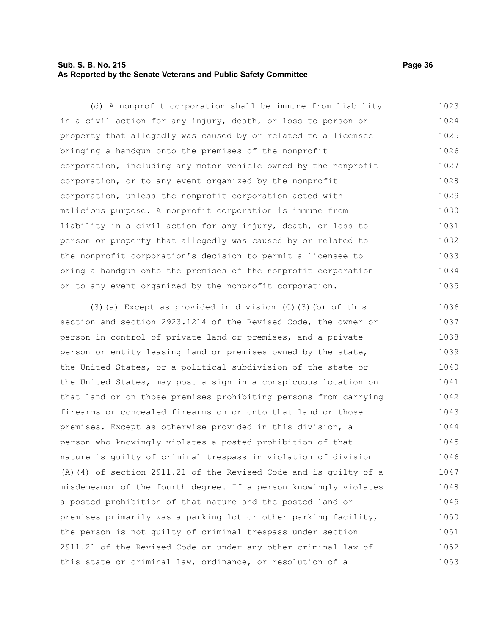# **Sub. S. B. No. 215 Page 36 As Reported by the Senate Veterans and Public Safety Committee**

(d) A nonprofit corporation shall be immune from liability in a civil action for any injury, death, or loss to person or property that allegedly was caused by or related to a licensee bringing a handgun onto the premises of the nonprofit corporation, including any motor vehicle owned by the nonprofit corporation, or to any event organized by the nonprofit corporation, unless the nonprofit corporation acted with malicious purpose. A nonprofit corporation is immune from liability in a civil action for any injury, death, or loss to person or property that allegedly was caused by or related to the nonprofit corporation's decision to permit a licensee to bring a handgun onto the premises of the nonprofit corporation or to any event organized by the nonprofit corporation. 1023 1024 1025 1026 1027 1028 1029 1030 1031 1032 1033 1034 1035

(3)(a) Except as provided in division (C)(3)(b) of this section and section 2923.1214 of the Revised Code, the owner or person in control of private land or premises, and a private person or entity leasing land or premises owned by the state, the United States, or a political subdivision of the state or the United States, may post a sign in a conspicuous location on that land or on those premises prohibiting persons from carrying firearms or concealed firearms on or onto that land or those premises. Except as otherwise provided in this division, a person who knowingly violates a posted prohibition of that nature is guilty of criminal trespass in violation of division (A)(4) of section 2911.21 of the Revised Code and is guilty of a misdemeanor of the fourth degree. If a person knowingly violates a posted prohibition of that nature and the posted land or premises primarily was a parking lot or other parking facility, the person is not guilty of criminal trespass under section 2911.21 of the Revised Code or under any other criminal law of this state or criminal law, ordinance, or resolution of a 1036 1037 1038 1039 1040 1041 1042 1043 1044 1045 1046 1047 1048 1049 1050 1051 1052 1053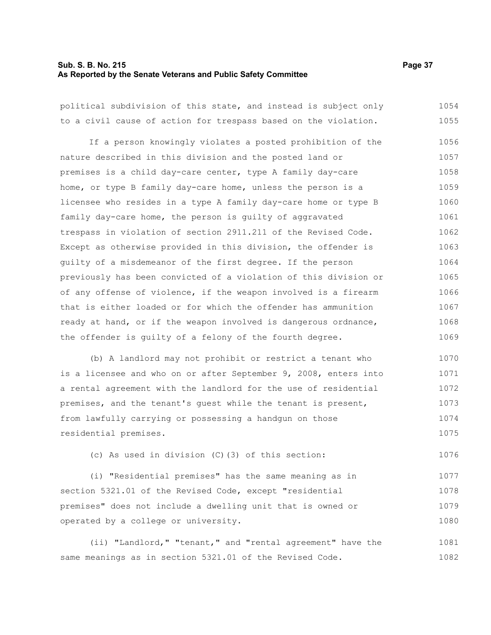# **Sub. S. B. No. 215 Page 37 As Reported by the Senate Veterans and Public Safety Committee**

1075

1076

| political subdivision of this state, and instead is subject only | 1054 |
|------------------------------------------------------------------|------|
| to a civil cause of action for trespass based on the violation.  | 1055 |
| If a person knowingly violates a posted prohibition of the       | 1056 |
| nature described in this division and the posted land or         | 1057 |
| premises is a child day-care center, type A family day-care      | 1058 |
| home, or type B family day-care home, unless the person is a     | 1059 |
| licensee who resides in a type A family day-care home or type B  | 1060 |
| family day-care home, the person is quilty of aggravated         | 1061 |
| trespass in violation of section 2911.211 of the Revised Code.   | 1062 |
| Except as otherwise provided in this division, the offender is   | 1063 |
| quilty of a misdemeanor of the first degree. If the person       | 1064 |
| previously has been convicted of a violation of this division or | 1065 |
| of any offense of violence, if the weapon involved is a firearm  | 1066 |
| that is either loaded or for which the offender has ammunition   | 1067 |
| ready at hand, or if the weapon involved is dangerous ordnance,  | 1068 |
| the offender is guilty of a felony of the fourth degree.         | 1069 |
| (b) A landlord may not prohibit or restrict a tenant who         | 1070 |
| is a licensee and who on or after September 9, 2008, enters into | 1071 |
| a rental agreement with the landlord for the use of residential  | 1072 |
| premises, and the tenant's quest while the tenant is present,    | 1073 |
| from lawfully carrying or possessing a handgun on those          | 1074 |

residential premises.

(c) As used in division (C)(3) of this section:

(i) "Residential premises" has the same meaning as in section 5321.01 of the Revised Code, except "residential premises" does not include a dwelling unit that is owned or operated by a college or university. 1077 1078 1079 1080

(ii) "Landlord," "tenant," and "rental agreement" have the same meanings as in section 5321.01 of the Revised Code. 1081 1082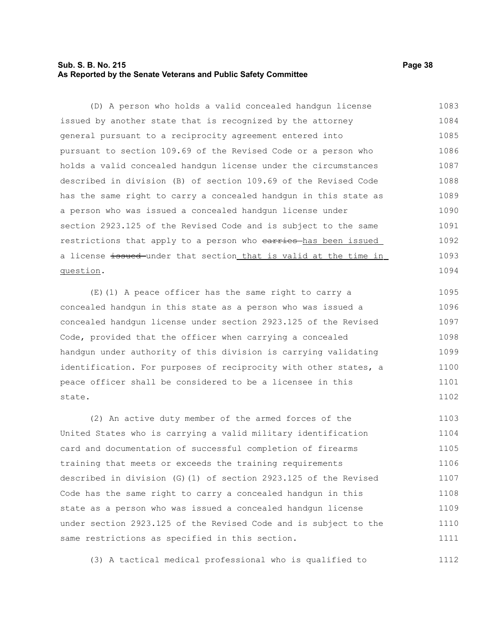# **Sub. S. B. No. 215 Page 38 As Reported by the Senate Veterans and Public Safety Committee**

(D) A person who holds a valid concealed handgun license issued by another state that is recognized by the attorney general pursuant to a reciprocity agreement entered into pursuant to section 109.69 of the Revised Code or a person who holds a valid concealed handgun license under the circumstances described in division (B) of section 109.69 of the Revised Code has the same right to carry a concealed handgun in this state as a person who was issued a concealed handgun license under section 2923.125 of the Revised Code and is subject to the same restrictions that apply to a person who earries-has been issued a license issued under that section that is valid at the time in question. 1083 1084 1085 1086 1087 1088 1089 1090 1091 1092 1093 1094

(E)(1) A peace officer has the same right to carry a concealed handgun in this state as a person who was issued a concealed handgun license under section 2923.125 of the Revised Code, provided that the officer when carrying a concealed handgun under authority of this division is carrying validating identification. For purposes of reciprocity with other states, a peace officer shall be considered to be a licensee in this state. 1095 1096 1097 1098 1099 1100 1101 1102

(2) An active duty member of the armed forces of the United States who is carrying a valid military identification card and documentation of successful completion of firearms training that meets or exceeds the training requirements described in division (G)(1) of section 2923.125 of the Revised Code has the same right to carry a concealed handgun in this state as a person who was issued a concealed handgun license under section 2923.125 of the Revised Code and is subject to the same restrictions as specified in this section. 1103 1104 1105 1106 1107 1108 1109 1110 1111

(3) A tactical medical professional who is qualified to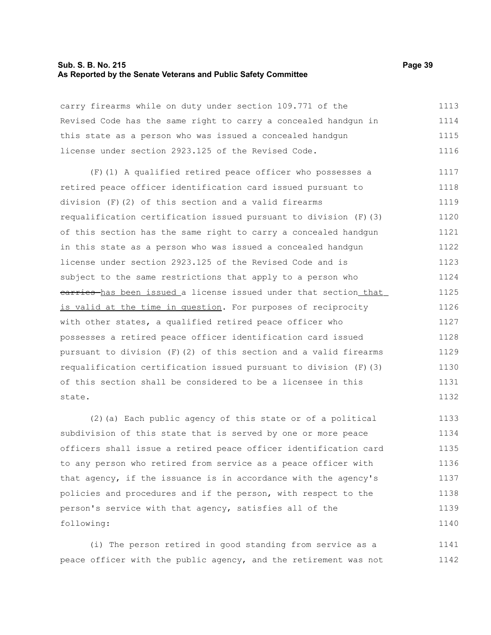#### **Sub. S. B. No. 215 Page 39 As Reported by the Senate Veterans and Public Safety Committee**

carry firearms while on duty under section 109.771 of the Revised Code has the same right to carry a concealed handgun in this state as a person who was issued a concealed handgun license under section 2923.125 of the Revised Code. 1113 1114 1115 1116

(F)(1) A qualified retired peace officer who possesses a retired peace officer identification card issued pursuant to division (F)(2) of this section and a valid firearms requalification certification issued pursuant to division (F)(3) of this section has the same right to carry a concealed handgun in this state as a person who was issued a concealed handgun license under section 2923.125 of the Revised Code and is subject to the same restrictions that apply to a person who carries has been issued a license issued under that section that is valid at the time in question. For purposes of reciprocity with other states, a qualified retired peace officer who possesses a retired peace officer identification card issued pursuant to division (F)(2) of this section and a valid firearms requalification certification issued pursuant to division (F)(3) of this section shall be considered to be a licensee in this state. 1117 1118 1119 1120 1121 1122 1123 1124 1125 1126 1127 1128 1129 1130 1131 1132

(2)(a) Each public agency of this state or of a political subdivision of this state that is served by one or more peace officers shall issue a retired peace officer identification card to any person who retired from service as a peace officer with that agency, if the issuance is in accordance with the agency's policies and procedures and if the person, with respect to the person's service with that agency, satisfies all of the following: 1133 1134 1135 1136 1137 1138 1139 1140

(i) The person retired in good standing from service as a peace officer with the public agency, and the retirement was not 1141 1142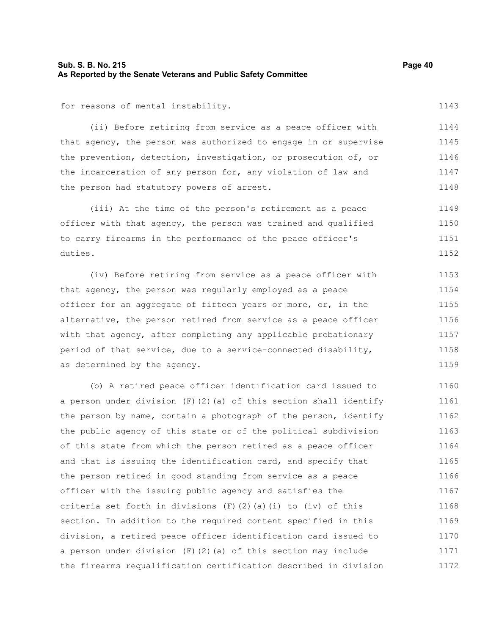# **Sub. S. B. No. 215 Page 40 As Reported by the Senate Veterans and Public Safety Committee**

for reasons of mental instability.

(ii) Before retiring from service as a peace officer with that agency, the person was authorized to engage in or supervise the prevention, detection, investigation, or prosecution of, or the incarceration of any person for, any violation of law and the person had statutory powers of arrest. 1144 1145 1146 1147 1148

(iii) At the time of the person's retirement as a peace officer with that agency, the person was trained and qualified to carry firearms in the performance of the peace officer's duties. 1149 1150 1151 1152

(iv) Before retiring from service as a peace officer with that agency, the person was regularly employed as a peace officer for an aggregate of fifteen years or more, or, in the alternative, the person retired from service as a peace officer with that agency, after completing any applicable probationary period of that service, due to a service-connected disability, as determined by the agency. 1153 1154 1155 1156 1157 1158 1159

(b) A retired peace officer identification card issued to a person under division  $(F)(2)(a)$  of this section shall identify the person by name, contain a photograph of the person, identify the public agency of this state or of the political subdivision of this state from which the person retired as a peace officer and that is issuing the identification card, and specify that the person retired in good standing from service as a peace officer with the issuing public agency and satisfies the criteria set forth in divisions  $(F)$   $(2)$   $(a)$   $(i)$  to  $(iv)$  of this section. In addition to the required content specified in this division, a retired peace officer identification card issued to a person under division (F)(2)(a) of this section may include the firearms requalification certification described in division 1160 1161 1162 1163 1164 1165 1166 1167 1168 1169 1170 1171 1172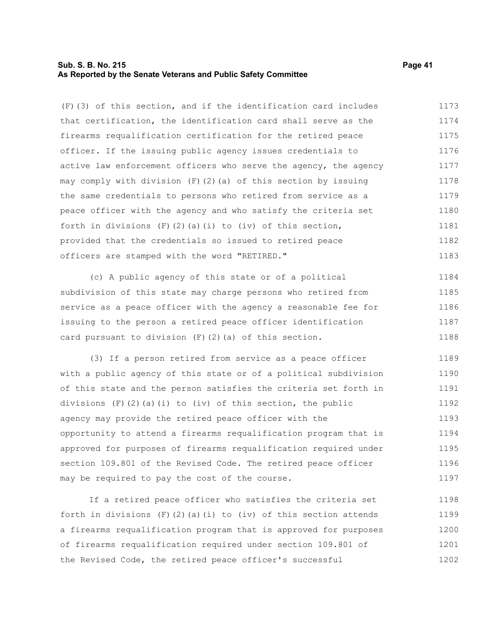### **Sub. S. B. No. 215 Page 41 As Reported by the Senate Veterans and Public Safety Committee**

(F)(3) of this section, and if the identification card includes that certification, the identification card shall serve as the firearms requalification certification for the retired peace officer. If the issuing public agency issues credentials to active law enforcement officers who serve the agency, the agency may comply with division (F)(2)(a) of this section by issuing the same credentials to persons who retired from service as a peace officer with the agency and who satisfy the criteria set forth in divisions  $(F)(2)(a)(i)$  to (iv) of this section, provided that the credentials so issued to retired peace officers are stamped with the word "RETIRED." 1173 1174 1175 1176 1177 1178 1179 1180 1181 1182 1183

(c) A public agency of this state or of a political subdivision of this state may charge persons who retired from service as a peace officer with the agency a reasonable fee for issuing to the person a retired peace officer identification card pursuant to division (F)(2)(a) of this section. 1184 1185 1186 1187 1188

(3) If a person retired from service as a peace officer with a public agency of this state or of a political subdivision of this state and the person satisfies the criteria set forth in divisions  $(F)$  (2)(a)(i) to (iv) of this section, the public agency may provide the retired peace officer with the opportunity to attend a firearms requalification program that is approved for purposes of firearms requalification required under section 109.801 of the Revised Code. The retired peace officer may be required to pay the cost of the course. 1189 1190 1191 1192 1193 1194 1195 1196 1197

If a retired peace officer who satisfies the criteria set forth in divisions  $(F)(2)(a)(i)$  to (iv) of this section attends a firearms requalification program that is approved for purposes of firearms requalification required under section 109.801 of the Revised Code, the retired peace officer's successful 1198 1199 1200 1201 1202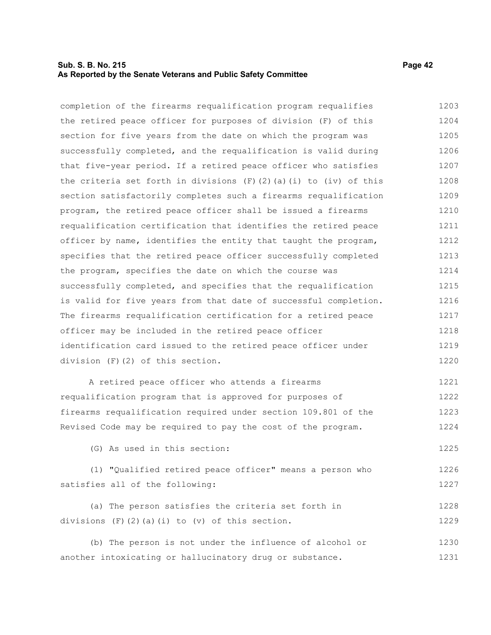# **Sub. S. B. No. 215 Page 42 As Reported by the Senate Veterans and Public Safety Committee**

1225

completion of the firearms requalification program requalifies the retired peace officer for purposes of division (F) of this section for five years from the date on which the program was successfully completed, and the requalification is valid during that five-year period. If a retired peace officer who satisfies the criteria set forth in divisions  $(F)(2)(a)(i)$  to  $(iv)$  of this section satisfactorily completes such a firearms requalification program, the retired peace officer shall be issued a firearms requalification certification that identifies the retired peace officer by name, identifies the entity that taught the program, specifies that the retired peace officer successfully completed the program, specifies the date on which the course was successfully completed, and specifies that the requalification is valid for five years from that date of successful completion. The firearms requalification certification for a retired peace officer may be included in the retired peace officer identification card issued to the retired peace officer under division (F)(2) of this section. A retired peace officer who attends a firearms 1203 1204 1205 1206 1207 1208 1209 1210 1211 1212 1213 1214 1215 1216 1217 1218 1219 1220 1221

requalification program that is approved for purposes of firearms requalification required under section 109.801 of the Revised Code may be required to pay the cost of the program. 1222 1223 1224

(G) As used in this section:

(1) "Qualified retired peace officer" means a person who satisfies all of the following: 1226 1227

(a) The person satisfies the criteria set forth in divisions  $(F)$   $(2)$   $(a)$   $(i)$  to  $(v)$  of this section. 1228 1229

(b) The person is not under the influence of alcohol or another intoxicating or hallucinatory drug or substance. 1230 1231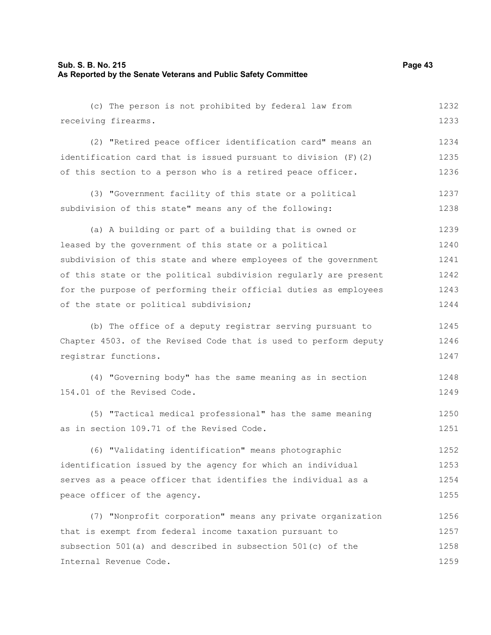# **Sub. S. B. No. 215 Page 43 As Reported by the Senate Veterans and Public Safety Committee**

| (c) The person is not prohibited by federal law from              | 1232 |
|-------------------------------------------------------------------|------|
| receiving firearms.                                               | 1233 |
| (2) "Retired peace officer identification card" means an          | 1234 |
| identification card that is issued pursuant to division $(F)$ (2) | 1235 |
| of this section to a person who is a retired peace officer.       | 1236 |
| (3) "Government facility of this state or a political             | 1237 |
| subdivision of this state" means any of the following:            | 1238 |
| (a) A building or part of a building that is owned or             | 1239 |
| leased by the government of this state or a political             | 1240 |
| subdivision of this state and where employees of the government   | 1241 |
| of this state or the political subdivision regularly are present  | 1242 |
| for the purpose of performing their official duties as employees  | 1243 |
| of the state or political subdivision;                            | 1244 |
| (b) The office of a deputy registrar serving pursuant to          | 1245 |
| Chapter 4503. of the Revised Code that is used to perform deputy  | 1246 |
| registrar functions.                                              | 1247 |
| (4) "Governing body" has the same meaning as in section           | 1248 |
| 154.01 of the Revised Code.                                       | 1249 |
| (5) "Tactical medical professional" has the same meaning          | 1250 |
| as in section 109.71 of the Revised Code.                         | 1251 |
| (6) "Validating identification" means photographic                | 1252 |
| identification issued by the agency for which an individual       | 1253 |
| serves as a peace officer that identifies the individual as a     | 1254 |
| peace officer of the agency.                                      | 1255 |
| (7) "Nonprofit corporation" means any private organization        | 1256 |
| that is exempt from federal income taxation pursuant to           | 1257 |
| subsection 501(a) and described in subsection 501(c) of the       | 1258 |
| Internal Revenue Code.                                            | 1259 |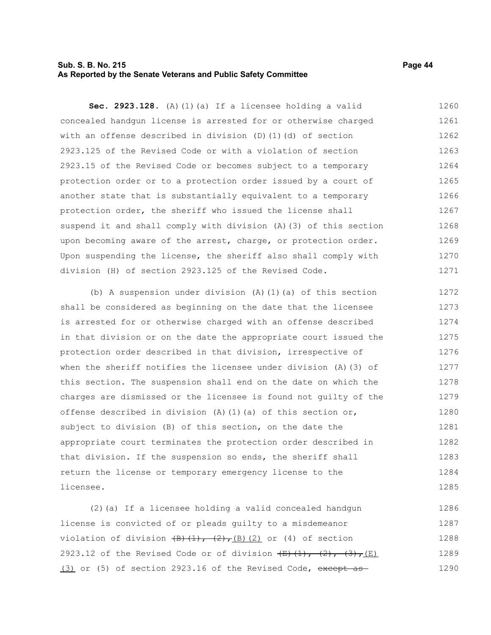# **Sub. S. B. No. 215 Page 44 As Reported by the Senate Veterans and Public Safety Committee**

**Sec. 2923.128.** (A)(1)(a) If a licensee holding a valid concealed handgun license is arrested for or otherwise charged with an offense described in division (D)(1)(d) of section 2923.125 of the Revised Code or with a violation of section 2923.15 of the Revised Code or becomes subject to a temporary protection order or to a protection order issued by a court of another state that is substantially equivalent to a temporary protection order, the sheriff who issued the license shall suspend it and shall comply with division (A)(3) of this section upon becoming aware of the arrest, charge, or protection order. Upon suspending the license, the sheriff also shall comply with division (H) of section 2923.125 of the Revised Code. 1260 1261 1262 1263 1264 1265 1266 1267 1268 1269 1270 1271

(b) A suspension under division (A)(1)(a) of this section shall be considered as beginning on the date that the licensee is arrested for or otherwise charged with an offense described in that division or on the date the appropriate court issued the protection order described in that division, irrespective of when the sheriff notifies the licensee under division  $(A)$  (3) of this section. The suspension shall end on the date on which the charges are dismissed or the licensee is found not guilty of the offense described in division (A)(1)(a) of this section or, subject to division (B) of this section, on the date the appropriate court terminates the protection order described in that division. If the suspension so ends, the sheriff shall return the license or temporary emergency license to the licensee. 1272 1273 1274 1275 1276 1277 1278 1279 1280 1281 1282 1283 1284 1285

(2)(a) If a licensee holding a valid concealed handgun license is convicted of or pleads guilty to a misdemeanor violation of division  $\{B\}$   $\{1\}$ ,  $\{2\}$ ,  $\{B\}$   $\{2\}$  or (4) of section 2923.12 of the Revised Code or of division  $(E)$   $(1)$ ,  $(2)$ ,  $(3)$ ,  $(E)$ (3) or (5) of section 2923.16 of the Revised Code, except as 1286 1287 1288 1289 1290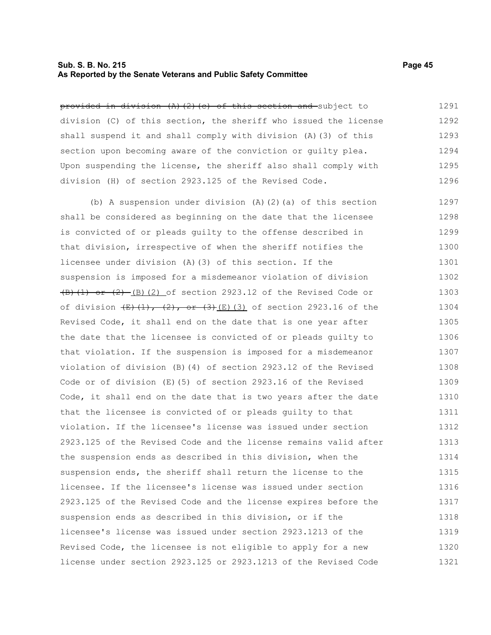### **Sub. S. B. No. 215 Page 45 As Reported by the Senate Veterans and Public Safety Committee**

provided in division  $(A)$   $(2)$   $(e)$  of this section and subject to division (C) of this section, the sheriff who issued the license shall suspend it and shall comply with division (A)(3) of this section upon becoming aware of the conviction or guilty plea. Upon suspending the license, the sheriff also shall comply with division (H) of section 2923.125 of the Revised Code. (b) A suspension under division  $(A)$   $(2)$   $(a)$  of this section shall be considered as beginning on the date that the licensee is convicted of or pleads guilty to the offense described in that division, irrespective of when the sheriff notifies the 1291 1292 1293 1294 1295 1296 1297 1298 1299 1300

licensee under division (A)(3) of this section. If the suspension is imposed for a misdemeanor violation of division  $(B)$ (1) or (2) (B)(2) of section 2923.12 of the Revised Code or of division  $(E)$   $(1)$ ,  $(2)$ , or  $(3)$  (3) of section 2923.16 of the Revised Code, it shall end on the date that is one year after the date that the licensee is convicted of or pleads guilty to that violation. If the suspension is imposed for a misdemeanor violation of division (B)(4) of section 2923.12 of the Revised Code or of division (E)(5) of section 2923.16 of the Revised Code, it shall end on the date that is two years after the date that the licensee is convicted of or pleads guilty to that violation. If the licensee's license was issued under section 2923.125 of the Revised Code and the license remains valid after the suspension ends as described in this division, when the suspension ends, the sheriff shall return the license to the licensee. If the licensee's license was issued under section 2923.125 of the Revised Code and the license expires before the suspension ends as described in this division, or if the licensee's license was issued under section 2923.1213 of the Revised Code, the licensee is not eligible to apply for a new license under section 2923.125 or 2923.1213 of the Revised Code 1301 1302 1303 1304 1305 1306 1307 1308 1309 1310 1311 1312 1313 1314 1315 1316 1317 1318 1319 1320 1321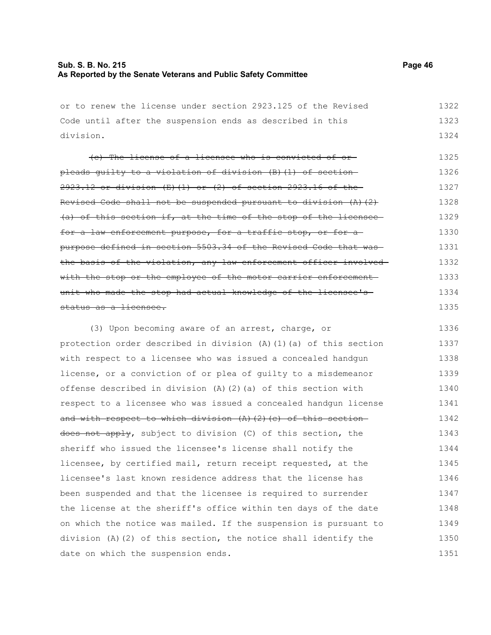| or to renew the license under section 2923.125 of the Revised         | 1322 |
|-----------------------------------------------------------------------|------|
| Code until after the suspension ends as described in this             | 1323 |
| division.                                                             | 1324 |
| (e) The license of a licensee who is convicted of or-                 | 1325 |
| pleads quilty to a violation of division (B)(1) of section            | 1326 |
| $2923.12$ or division (E)(1) or (2) of section 2923.16 of the         | 1327 |
| Revised Code shall not be suspended pursuant to division $(A)$ $(2)$  | 1328 |
| (a) of this section if, at the time of the stop of the licensee       | 1329 |
| for a law enforcement purpose, for a traffic stop, or for a           | 1330 |
| purpose defined in section 5503.34 of the Revised Code that was       | 1331 |
| the basis of the violation, any law enforcement officer involved      | 1332 |
| with the stop or the employee of the motor carrier enforcement        | 1333 |
| unit who made the stop had actual knowledge of the licensee's-        | 1334 |
| status as a licensee.                                                 | 1335 |
| (3) Upon becoming aware of an arrest, charge, or                      | 1336 |
| protection order described in division (A) (1) (a) of this section    | 1337 |
| with respect to a licensee who was issued a concealed handgun         | 1338 |
| license, or a conviction of or plea of guilty to a misdemeanor        | 1339 |
| offense described in division $(A)$ $(2)$ $(a)$ of this section with  | 1340 |
| respect to a licensee who was issued a concealed handgun license      | 1341 |
| and with respect to which division $(A)$ $(2)$ $(c)$ of this section- | 1342 |
| does not apply, subject to division (C) of this section, the          | 1343 |
| sheriff who issued the licensee's license shall notify the            | 1344 |
| licensee, by certified mail, return receipt requested, at the         | 1345 |
| licensee's last known residence address that the license has          | 1346 |
| been suspended and that the licensee is required to surrender         | 1347 |
| the license at the sheriff's office within ten days of the date       | 1348 |
| on which the notice was mailed. If the suspension is pursuant to      | 1349 |
| division (A)(2) of this section, the notice shall identify the        | 1350 |
| date on which the suspension ends.                                    | 1351 |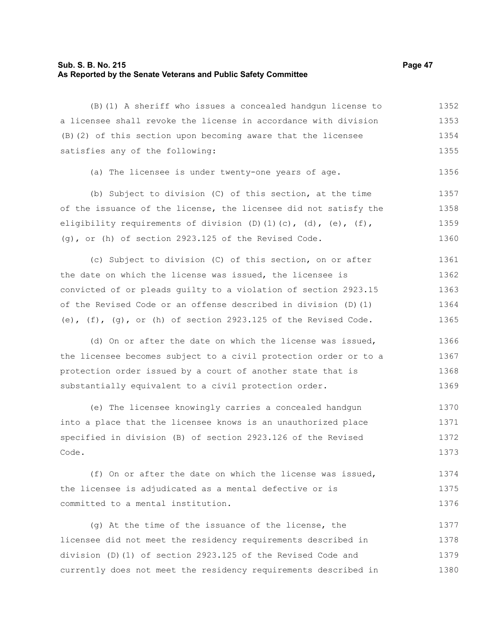### **Sub. S. B. No. 215 Page 47 As Reported by the Senate Veterans and Public Safety Committee**

(B)(1) A sheriff who issues a concealed handgun license to a licensee shall revoke the license in accordance with division (B)(2) of this section upon becoming aware that the licensee 1352 1353 1354

satisfies any of the following:

(a) The licensee is under twenty-one years of age. 1356

(b) Subject to division (C) of this section, at the time of the issuance of the license, the licensee did not satisfy the eligibility requirements of division (D)(1)(c), (d), (e),  $(f)$ , (g), or (h) of section 2923.125 of the Revised Code. 1357 1358 1359 1360

(c) Subject to division (C) of this section, on or after the date on which the license was issued, the licensee is convicted of or pleads guilty to a violation of section 2923.15 of the Revised Code or an offense described in division (D)(1) (e),  $(f)$ ,  $(g)$ , or (h) of section 2923.125 of the Revised Code. 1361 1362 1363 1364 1365

(d) On or after the date on which the license was issued, the licensee becomes subject to a civil protection order or to a protection order issued by a court of another state that is substantially equivalent to a civil protection order. 1366 1367 1368 1369

(e) The licensee knowingly carries a concealed handgun into a place that the licensee knows is an unauthorized place specified in division (B) of section 2923.126 of the Revised Code. 1370 1371 1372 1373

(f) On or after the date on which the license was issued, the licensee is adjudicated as a mental defective or is committed to a mental institution. 1374 1375 1376

(g) At the time of the issuance of the license, the licensee did not meet the residency requirements described in division (D)(1) of section 2923.125 of the Revised Code and currently does not meet the residency requirements described in 1377 1378 1379 1380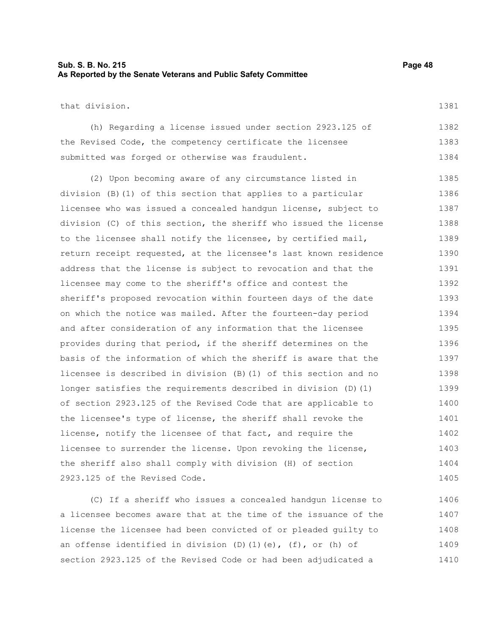# **Sub. S. B. No. 215 Page 48 As Reported by the Senate Veterans and Public Safety Committee**

1381

that division.

(h) Regarding a license issued under section 2923.125 of the Revised Code, the competency certificate the licensee submitted was forged or otherwise was fraudulent. 1382 1383 1384

(2) Upon becoming aware of any circumstance listed in division (B)(1) of this section that applies to a particular licensee who was issued a concealed handgun license, subject to division (C) of this section, the sheriff who issued the license to the licensee shall notify the licensee, by certified mail, return receipt requested, at the licensee's last known residence address that the license is subject to revocation and that the licensee may come to the sheriff's office and contest the sheriff's proposed revocation within fourteen days of the date on which the notice was mailed. After the fourteen-day period and after consideration of any information that the licensee provides during that period, if the sheriff determines on the basis of the information of which the sheriff is aware that the licensee is described in division (B)(1) of this section and no longer satisfies the requirements described in division (D)(1) of section 2923.125 of the Revised Code that are applicable to the licensee's type of license, the sheriff shall revoke the license, notify the licensee of that fact, and require the licensee to surrender the license. Upon revoking the license, the sheriff also shall comply with division (H) of section 2923.125 of the Revised Code. 1385 1386 1387 1388 1389 1390 1391 1392 1393 1394 1395 1396 1397 1398 1399 1400 1401 1402 1403 1404 1405

(C) If a sheriff who issues a concealed handgun license to a licensee becomes aware that at the time of the issuance of the license the licensee had been convicted of or pleaded guilty to an offense identified in division (D)(1)(e), (f), or (h) of section 2923.125 of the Revised Code or had been adjudicated a 1406 1407 1408 1409 1410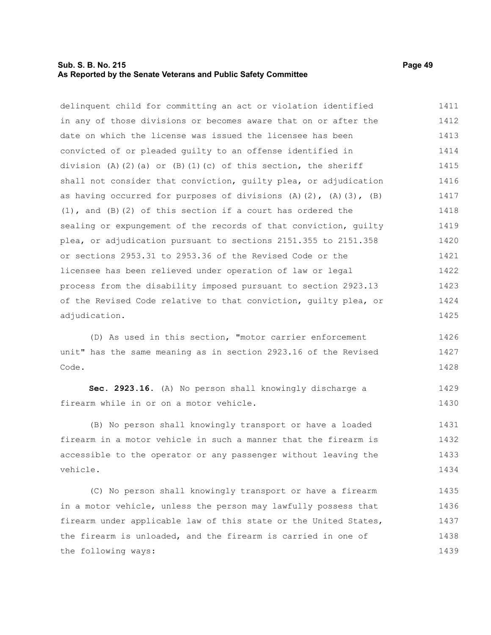## **Sub. S. B. No. 215 Page 49 As Reported by the Senate Veterans and Public Safety Committee**

adjudication.

delinquent child for committing an act or violation identified in any of those divisions or becomes aware that on or after the date on which the license was issued the licensee has been convicted of or pleaded guilty to an offense identified in division (A)(2)(a) or (B)(1)(c) of this section, the sheriff shall not consider that conviction, guilty plea, or adjudication as having occurred for purposes of divisions  $(A)$   $(2)$ ,  $(A)$   $(3)$ ,  $(B)$ (1), and (B)(2) of this section if a court has ordered the sealing or expungement of the records of that conviction, guilty plea, or adjudication pursuant to sections 2151.355 to 2151.358 or sections 2953.31 to 2953.36 of the Revised Code or the licensee has been relieved under operation of law or legal process from the disability imposed pursuant to section 2923.13 of the Revised Code relative to that conviction, guilty plea, or 1411 1412 1413 1414 1415 1416 1417 1418 1419 1420 1421 1422 1423 1424

(D) As used in this section, "motor carrier enforcement unit" has the same meaning as in section 2923.16 of the Revised Code. 1426 1427 1428

**Sec. 2923.16.** (A) No person shall knowingly discharge a firearm while in or on a motor vehicle. 1429 1430

(B) No person shall knowingly transport or have a loaded firearm in a motor vehicle in such a manner that the firearm is accessible to the operator or any passenger without leaving the vehicle. 1431 1432 1433 1434

(C) No person shall knowingly transport or have a firearm in a motor vehicle, unless the person may lawfully possess that firearm under applicable law of this state or the United States, the firearm is unloaded, and the firearm is carried in one of the following ways: 1435 1436 1437 1438 1439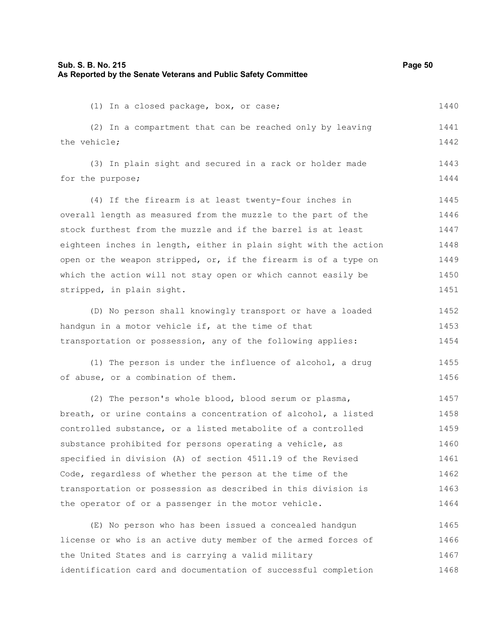| Sub. S. B. No. 215<br>As Reported by the Senate Veterans and Public Safety Committee | Page 50 |
|--------------------------------------------------------------------------------------|---------|
| (1) In a closed package, box, or case;                                               | 1440    |
| (2) In a compartment that can be reached only by leaving                             | 1441    |
| the vehicle;                                                                         | 1442    |
| (3) In plain sight and secured in a rack or holder made                              | 1443    |
| for the purpose;                                                                     | 1444    |
| (4) If the firearm is at least twenty-four inches in                                 | 1445    |
| overall length as measured from the muzzle to the part of the                        | 1446    |
| stock furthest from the muzzle and if the barrel is at least                         | 1447    |
| eighteen inches in length, either in plain sight with the action                     | 1448    |
| open or the weapon stripped, or, if the firearm is of a type on                      | 1449    |
| which the action will not stay open or which cannot easily be                        | 1450    |
| stripped, in plain sight.                                                            | 1451    |
| (D) No person shall knowingly transport or have a loaded                             | 1452    |
| handgun in a motor vehicle if, at the time of that                                   | 1453    |
| transportation or possession, any of the following applies:                          | 1454    |
| (1) The person is under the influence of alcohol, a drug                             | 1455    |
| of abuse, or a combination of them.                                                  | 1456    |
| (2) The person's whole blood, blood serum or plasma,                                 | 1457    |
| breath, or urine contains a concentration of alcohol, a listed                       | 1458    |
| controlled substance, or a listed metabolite of a controlled                         | 1459    |
| substance prohibited for persons operating a vehicle, as                             | 1460    |
| specified in division (A) of section 4511.19 of the Revised                          | 1461    |
| Code, regardless of whether the person at the time of the                            | 1462    |
| transportation or possession as described in this division is                        | 1463    |
| the operator of or a passenger in the motor vehicle.                                 | 1464    |
| (E) No person who has been issued a concealed handgun                                | 1465    |
| license or who is an active duty member of the armed forces of                       | 1466    |
| the United States and is carrying a valid military                                   | 1467    |
| identification card and documentation of successful completion                       | 1468    |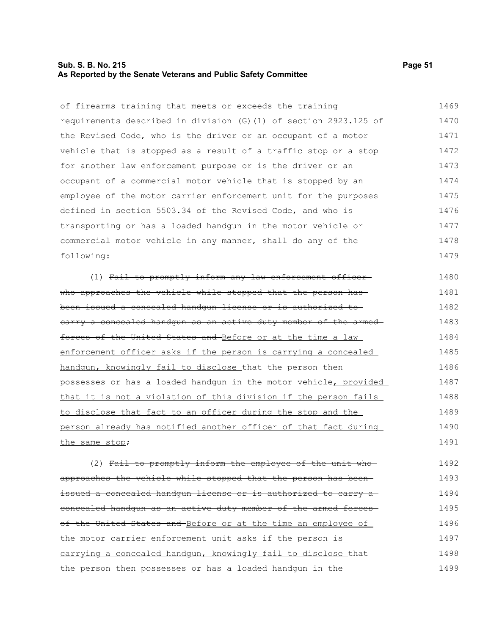### **Sub. S. B. No. 215 Page 51 As Reported by the Senate Veterans and Public Safety Committee**

of firearms training that meets or exceeds the training requirements described in division (G)(1) of section 2923.125 of the Revised Code, who is the driver or an occupant of a motor vehicle that is stopped as a result of a traffic stop or a stop for another law enforcement purpose or is the driver or an occupant of a commercial motor vehicle that is stopped by an employee of the motor carrier enforcement unit for the purposes defined in section 5503.34 of the Revised Code, and who is transporting or has a loaded handgun in the motor vehicle or commercial motor vehicle in any manner, shall do any of the following: (1) Fail to promptly inform any law enforcement officer who approaches the vehicle while stopped that the person has been issued a concealed handgun license or is authorized to carry a concealed handgun as an active duty member of the armed forces of the United States and Before or at the time a law enforcement officer asks if the person is carrying a concealed handgun, knowingly fail to disclose that the person then possesses or has a loaded handgun in the motor vehicle, provided that it is not a violation of this division if the person fails to disclose that fact to an officer during the stop and the person already has notified another officer of that fact during the same stop; 1469 1470 1471 1472 1473 1474 1475 1476 1477 1478 1479 1480 1481 1482 1483 1484 1485 1486 1487 1488 1489 1490 1491

(2) Fail to promptly inform the employee of the unit who approaches the vehicle while stopped that the person has been issued a concealed handgun license or is authorized to carry a concealed handgun as an active duty member of the armed forces of the United States and Before or at the time an employee of the motor carrier enforcement unit asks if the person is carrying a concealed handgun, knowingly fail to disclose that the person then possesses or has a loaded handgun in the 1492 1493 1494 1495 1496 1497 1498 1499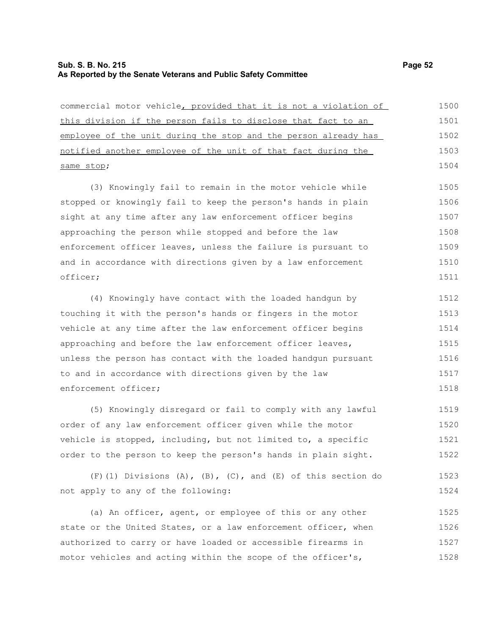# **Sub. S. B. No. 215 Page 52 As Reported by the Senate Veterans and Public Safety Committee**

commercial motor vehicle, provided that it is not a violation of this division if the person fails to disclose that fact to an employee of the unit during the stop and the person already has notified another employee of the unit of that fact during the same stop; (3) Knowingly fail to remain in the motor vehicle while stopped or knowingly fail to keep the person's hands in plain sight at any time after any law enforcement officer begins approaching the person while stopped and before the law enforcement officer leaves, unless the failure is pursuant to and in accordance with directions given by a law enforcement officer; (4) Knowingly have contact with the loaded handgun by touching it with the person's hands or fingers in the motor vehicle at any time after the law enforcement officer begins approaching and before the law enforcement officer leaves, unless the person has contact with the loaded handgun pursuant to and in accordance with directions given by the law 1501 1502 1503 1504 1505 1506 1507 1508 1509 1510 1511 1512 1513 1514 1515 1516 1517

enforcement officer;

(5) Knowingly disregard or fail to comply with any lawful order of any law enforcement officer given while the motor vehicle is stopped, including, but not limited to, a specific order to the person to keep the person's hands in plain sight. 1519 1520 1521 1522

(F)(1) Divisions (A), (B), (C), and (E) of this section do not apply to any of the following: 1523 1524

(a) An officer, agent, or employee of this or any other state or the United States, or a law enforcement officer, when authorized to carry or have loaded or accessible firearms in motor vehicles and acting within the scope of the officer's, 1525 1526 1527 1528

1500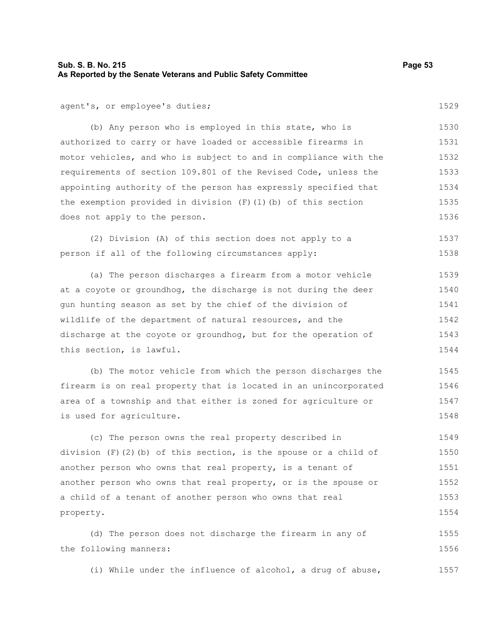# **Sub. S. B. No. 215 Page 53 As Reported by the Senate Veterans and Public Safety Committee**

agent's, or employee's duties;

(b) Any person who is employed in this state, who is authorized to carry or have loaded or accessible firearms in motor vehicles, and who is subject to and in compliance with the requirements of section 109.801 of the Revised Code, unless the appointing authority of the person has expressly specified that the exemption provided in division  $(F)(1)(b)$  of this section does not apply to the person. 1530 1531 1532 1533 1534 1535 1536

(2) Division (A) of this section does not apply to a person if all of the following circumstances apply: 1537 1538

(a) The person discharges a firearm from a motor vehicle at a coyote or groundhog, the discharge is not during the deer gun hunting season as set by the chief of the division of wildlife of the department of natural resources, and the discharge at the coyote or groundhog, but for the operation of this section, is lawful. 1539 1540 1541 1542 1543 1544

(b) The motor vehicle from which the person discharges the firearm is on real property that is located in an unincorporated area of a township and that either is zoned for agriculture or is used for agriculture. 1545 1546 1547 1548

(c) The person owns the real property described in division  $(F)$  (2)(b) of this section, is the spouse or a child of another person who owns that real property, is a tenant of another person who owns that real property, or is the spouse or a child of a tenant of another person who owns that real property. 1549 1550 1551 1552 1553 1554

(d) The person does not discharge the firearm in any of the following manners: 1555 1556

(i) While under the influence of alcohol, a drug of abuse, 1557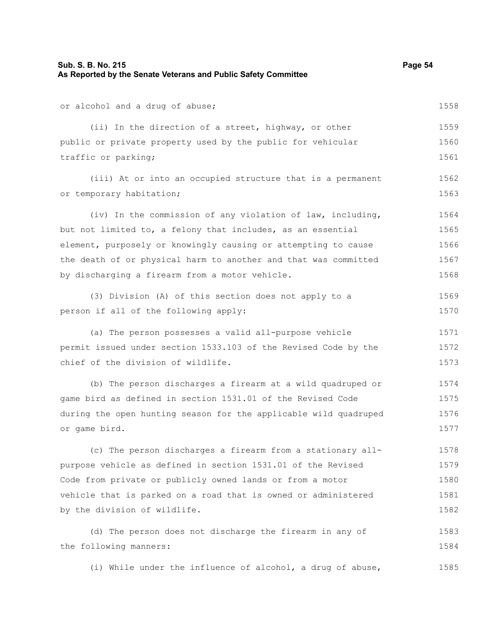#### **Sub. S. B. No. 215 Page 54 As Reported by the Senate Veterans and Public Safety Committee** or alcohol and a drug of abuse; (ii) In the direction of a street, highway, or other public or private property used by the public for vehicular traffic or parking; (iii) At or into an occupied structure that is a permanent or temporary habitation; (iv) In the commission of any violation of law, including, but not limited to, a felony that includes, as an essential element, purposely or knowingly causing or attempting to cause the death of or physical harm to another and that was committed by discharging a firearm from a motor vehicle. (3) Division (A) of this section does not apply to a person if all of the following apply: (a) The person possesses a valid all-purpose vehicle permit issued under section 1533.103 of the Revised Code by the chief of the division of wildlife. 1558 1559 1560 1561 1562 1563 1564 1565 1566 1567 1568 1569 1570 1571 1572 1573

(b) The person discharges a firearm at a wild quadruped or game bird as defined in section 1531.01 of the Revised Code during the open hunting season for the applicable wild quadruped or game bird. 1574 1575 1576 1577

(c) The person discharges a firearm from a stationary allpurpose vehicle as defined in section 1531.01 of the Revised Code from private or publicly owned lands or from a motor vehicle that is parked on a road that is owned or administered by the division of wildlife. 1578 1579 1580 1581 1582

(d) The person does not discharge the firearm in any of the following manners: 1583 1584

(i) While under the influence of alcohol, a drug of abuse, 1585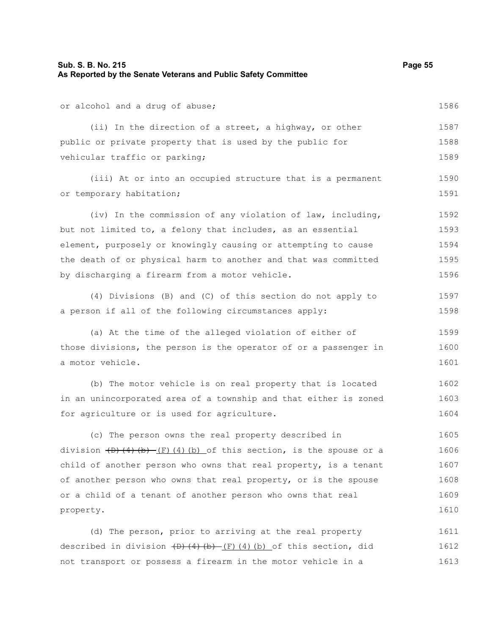or alcohol and a drug of abuse;

(ii) In the direction of a street, a highway, or other public or private property that is used by the public for vehicular traffic or parking; 1587 1588 1589

(iii) At or into an occupied structure that is a permanent or temporary habitation; 1590 1591

(iv) In the commission of any violation of law, including, but not limited to, a felony that includes, as an essential element, purposely or knowingly causing or attempting to cause the death of or physical harm to another and that was committed by discharging a firearm from a motor vehicle. 1592 1593 1594 1595 1596

(4) Divisions (B) and (C) of this section do not apply to a person if all of the following circumstances apply: 1597 1598

(a) At the time of the alleged violation of either of those divisions, the person is the operator of or a passenger in a motor vehicle. 1599 1600 1601

(b) The motor vehicle is on real property that is located in an unincorporated area of a township and that either is zoned for agriculture or is used for agriculture. 1602 1603 1604

(c) The person owns the real property described in division  $(D)$   $(D)$   $(D)$   $(F)$   $(4)$   $(b)$  of this section, is the spouse or a child of another person who owns that real property, is a tenant of another person who owns that real property, or is the spouse or a child of a tenant of another person who owns that real property. 1605 1606 1607 1608 1609 1610

(d) The person, prior to arriving at the real property described in division  $(D)$   $(4)$   $(b)$   $(f)$   $(4)$   $(b)$  of this section, did not transport or possess a firearm in the motor vehicle in a 1611 1612 1613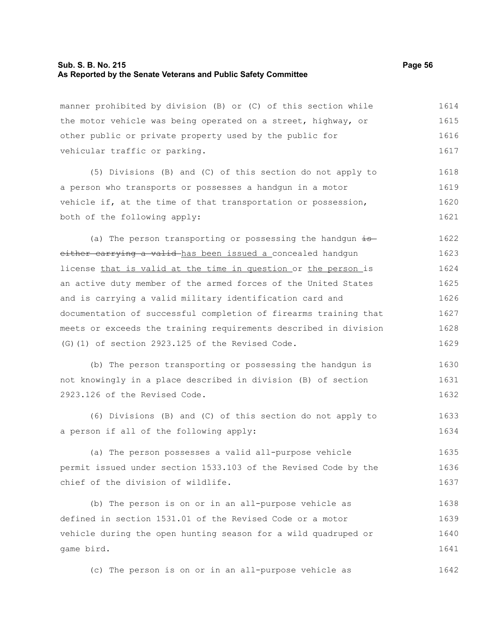#### **Sub. S. B. No. 215 Page 56 As Reported by the Senate Veterans and Public Safety Committee**

manner prohibited by division (B) or (C) of this section while the motor vehicle was being operated on a street, highway, or other public or private property used by the public for vehicular traffic or parking. 1614 1615 1616 1617

(5) Divisions (B) and (C) of this section do not apply to a person who transports or possesses a handgun in a motor vehicle if, at the time of that transportation or possession, both of the following apply: 1618 1619 1620 1621

(a) The person transporting or possessing the handgun  $i$ seither carrying a valid-has been issued a concealed handgun license that is valid at the time in question or the person is an active duty member of the armed forces of the United States and is carrying a valid military identification card and documentation of successful completion of firearms training that meets or exceeds the training requirements described in division (G)(1) of section 2923.125 of the Revised Code. 1622 1623 1624 1625 1626 1627 1628 1629

(b) The person transporting or possessing the handgun is not knowingly in a place described in division (B) of section 2923.126 of the Revised Code. 1630 1631 1632

(6) Divisions (B) and (C) of this section do not apply to a person if all of the following apply: 1633 1634

(a) The person possesses a valid all-purpose vehicle permit issued under section 1533.103 of the Revised Code by the chief of the division of wildlife. 1635 1636 1637

(b) The person is on or in an all-purpose vehicle as defined in section 1531.01 of the Revised Code or a motor vehicle during the open hunting season for a wild quadruped or game bird. 1638 1639 1640 1641

(c) The person is on or in an all-purpose vehicle as 1642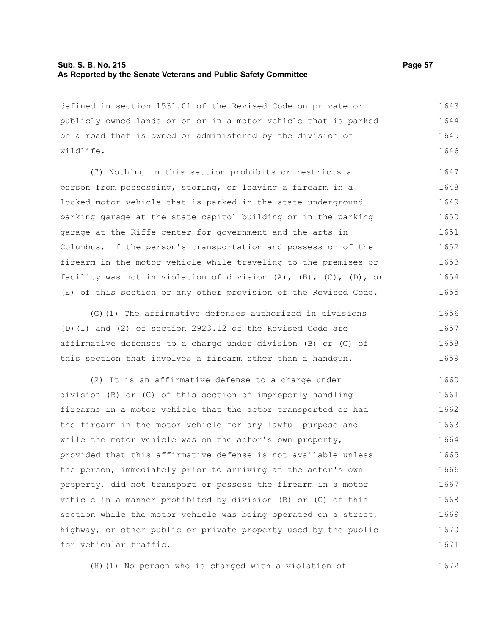### **Sub. S. B. No. 215 Page 57 As Reported by the Senate Veterans and Public Safety Committee**

defined in section 1531.01 of the Revised Code on private or publicly owned lands or on or in a motor vehicle that is parked on a road that is owned or administered by the division of wildlife. 1644

(7) Nothing in this section prohibits or restricts a person from possessing, storing, or leaving a firearm in a locked motor vehicle that is parked in the state underground parking garage at the state capitol building or in the parking garage at the Riffe center for government and the arts in Columbus, if the person's transportation and possession of the firearm in the motor vehicle while traveling to the premises or facility was not in violation of division (A), (B), (C), (D), or (E) of this section or any other provision of the Revised Code. 1647 1648 1649 1650 1651 1652 1653 1654 1655

(G)(1) The affirmative defenses authorized in divisions (D)(1) and (2) of section 2923.12 of the Revised Code are affirmative defenses to a charge under division (B) or (C) of this section that involves a firearm other than a handgun. 1656 1657 1658 1659

(2) It is an affirmative defense to a charge under division (B) or (C) of this section of improperly handling firearms in a motor vehicle that the actor transported or had the firearm in the motor vehicle for any lawful purpose and while the motor vehicle was on the actor's own property, provided that this affirmative defense is not available unless the person, immediately prior to arriving at the actor's own property, did not transport or possess the firearm in a motor vehicle in a manner prohibited by division (B) or (C) of this section while the motor vehicle was being operated on a street, highway, or other public or private property used by the public for vehicular traffic. 1660 1661 1662 1663 1664 1665 1666 1667 1668 1669 1670 1671

(H)(1) No person who is charged with a violation of

1672

1643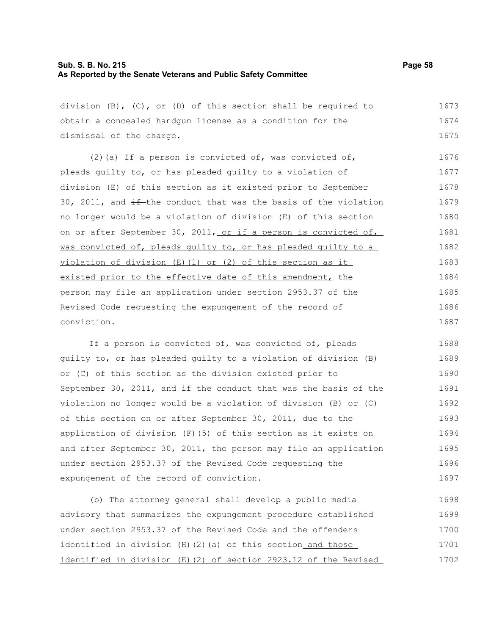## **Sub. S. B. No. 215 Page 58 As Reported by the Senate Veterans and Public Safety Committee**

division  $(B)$ ,  $(C)$ , or  $(D)$  of this section shall be required to obtain a concealed handgun license as a condition for the dismissal of the charge. (2)(a) If a person is convicted of, was convicted of, pleads guilty to, or has pleaded guilty to a violation of division (E) of this section as it existed prior to September 30, 2011, and  $\pm\text{$ -the conduct that was the basis of the violation no longer would be a violation of division (E) of this section on or after September 30, 2011, or if a person is convicted of, was convicted of, pleads guilty to, or has pleaded guilty to a violation of division (E)(1) or (2) of this section as it existed prior to the effective date of this amendment, the person may file an application under section 2953.37 of the Revised Code requesting the expungement of the record of conviction. 1673 1674 1675 1676 1677 1678 1679 1680 1681 1682 1683 1684 1685 1686 1687

If a person is convicted of, was convicted of, pleads guilty to, or has pleaded guilty to a violation of division (B) or (C) of this section as the division existed prior to September 30, 2011, and if the conduct that was the basis of the violation no longer would be a violation of division (B) or (C) of this section on or after September 30, 2011, due to the application of division  $(F)$  (5) of this section as it exists on and after September 30, 2011, the person may file an application under section 2953.37 of the Revised Code requesting the expungement of the record of conviction. 1688 1689 1690 1691 1692 1693 1694 1695 1696 1697

(b) The attorney general shall develop a public media advisory that summarizes the expungement procedure established under section 2953.37 of the Revised Code and the offenders identified in division (H)(2)(a) of this section and those identified in division (E)(2) of section 2923.12 of the Revised 1698 1699 1700 1701 1702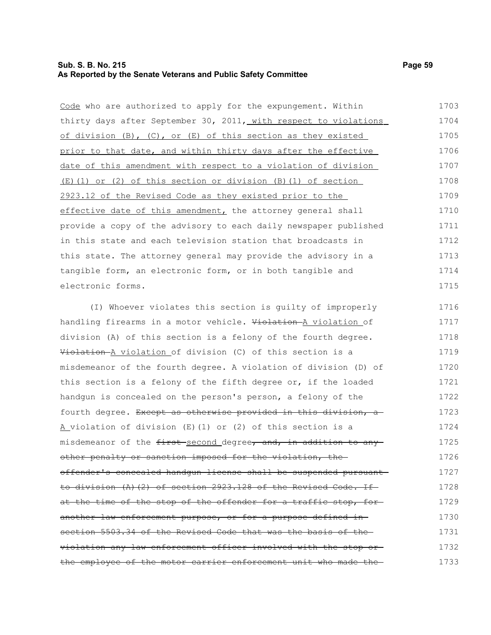# **Sub. S. B. No. 215 Page 59 As Reported by the Senate Veterans and Public Safety Committee**

Code who are authorized to apply for the expungement. Within thirty days after September 30, 2011, with respect to violations of division (B), (C), or (E) of this section as they existed prior to that date, and within thirty days after the effective date of this amendment with respect to a violation of division (E)(1) or (2) of this section or division (B)(1) of section 2923.12 of the Revised Code as they existed prior to the effective date of this amendment, the attorney general shall provide a copy of the advisory to each daily newspaper published 1703 1704 1705 1706 1707 1708 1709 1710 1711

in this state and each television station that broadcasts in this state. The attorney general may provide the advisory in a tangible form, an electronic form, or in both tangible and electronic forms. 1712 1713 1714 1715

(I) Whoever violates this section is guilty of improperly handling firearms in a motor vehicle. Violation-A violation of division (A) of this section is a felony of the fourth degree. Violation A violation of division (C) of this section is a misdemeanor of the fourth degree. A violation of division (D) of this section is a felony of the fifth degree or, if the loaded handgun is concealed on the person's person, a felony of the fourth degree. Except as otherwise provided in this division, a-A violation of division (E)(1) or (2) of this section is a misdemeanor of the first second degree, and, in addition to any other penalty or sanction imposed for the violation, the offender's concealed handgun license shall be suspended pursuant to division (A)(2) of section 2923.128 of the Revised Code. If at the time of the stop of the offender for a traffic stop, foranother law enforcement purpose, or for a purpose defined in section 5503.34 of the Revised Code that was the basis of the violation any law enforcement officer involved with the stop or the employee of the motor carrier enforcement unit who made the 1716 1717 1718 1719 1720 1721 1722 1723 1724 1725 1726 1727 1728 1729 1730 1731 1732 1733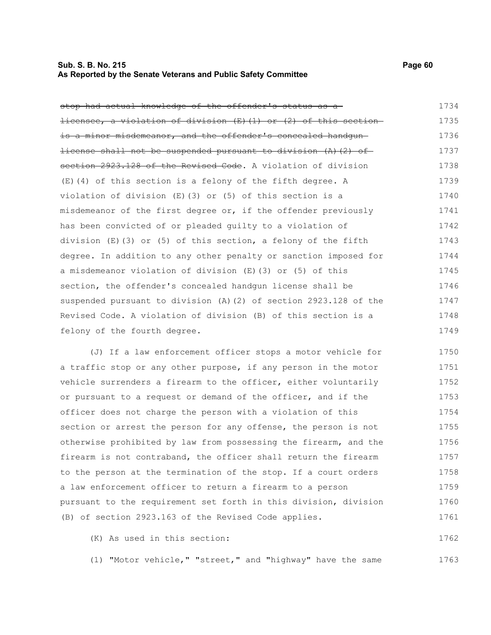# **Sub. S. B. No. 215 Page 60 As Reported by the Senate Veterans and Public Safety Committee**

stop had actual knowledge of the offender's status as a licensee, a violation of division (E)(1) or (2) of this section is a minor misdemeanor, and the offender's concealed handgunlicense shall not be suspended pursuant to division (A)(2) of section 2923.128 of the Revised Code. A violation of division (E)(4) of this section is a felony of the fifth degree. A violation of division (E)(3) or (5) of this section is a misdemeanor of the first degree or, if the offender previously has been convicted of or pleaded guilty to a violation of division  $(E)(3)$  or  $(5)$  of this section, a felony of the fifth degree. In addition to any other penalty or sanction imposed for a misdemeanor violation of division (E)(3) or (5) of this section, the offender's concealed handgun license shall be suspended pursuant to division (A)(2) of section 2923.128 of the Revised Code. A violation of division (B) of this section is a felony of the fourth degree. 1734 1735 1736 1737 1738 1739 1740 1741 1742 1743 1744 1745 1746 1747 1748 1749

(J) If a law enforcement officer stops a motor vehicle for a traffic stop or any other purpose, if any person in the motor vehicle surrenders a firearm to the officer, either voluntarily or pursuant to a request or demand of the officer, and if the officer does not charge the person with a violation of this section or arrest the person for any offense, the person is not otherwise prohibited by law from possessing the firearm, and the firearm is not contraband, the officer shall return the firearm to the person at the termination of the stop. If a court orders a law enforcement officer to return a firearm to a person pursuant to the requirement set forth in this division, division (B) of section 2923.163 of the Revised Code applies. 1750 1751 1752 1753 1754 1755 1756 1757 1758 1759 1760 1761

(K) As used in this section: 1762

(1) "Motor vehicle," "street," and "highway" have the same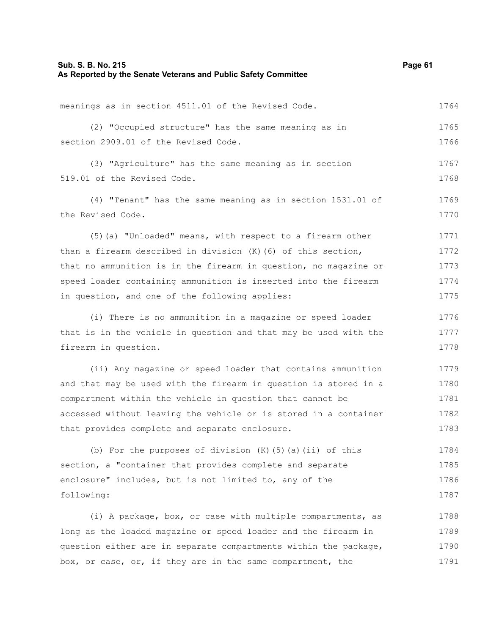# **Sub. S. B. No. 215 Page 61 As Reported by the Senate Veterans and Public Safety Committee** meanings as in section 4511.01 of the Revised Code. (2) "Occupied structure" has the same meaning as in section 2909.01 of the Revised Code. (3) "Agriculture" has the same meaning as in section 519.01 of the Revised Code. (4) "Tenant" has the same meaning as in section 1531.01 of the Revised Code. (5)(a) "Unloaded" means, with respect to a firearm other than a firearm described in division  $(K)$  (6) of this section, that no ammunition is in the firearm in question, no magazine or speed loader containing ammunition is inserted into the firearm in question, and one of the following applies: (i) There is no ammunition in a magazine or speed loader that is in the vehicle in question and that may be used with the firearm in question. (ii) Any magazine or speed loader that contains ammunition and that may be used with the firearm in question is stored in a compartment within the vehicle in question that cannot be accessed without leaving the vehicle or is stored in a container that provides complete and separate enclosure. (b) For the purposes of division (K)(5)(a)(ii) of this 1764 1765 1766 1767 1768 1769 1770 1771 1772 1773 1774 1775 1776 1777 1778 1779 1780 1781 1782 1783 1784

section, a "container that provides complete and separate enclosure" includes, but is not limited to, any of the following: 1785 1786 1787

(i) A package, box, or case with multiple compartments, as long as the loaded magazine or speed loader and the firearm in question either are in separate compartments within the package, box, or case, or, if they are in the same compartment, the 1788 1789 1790 1791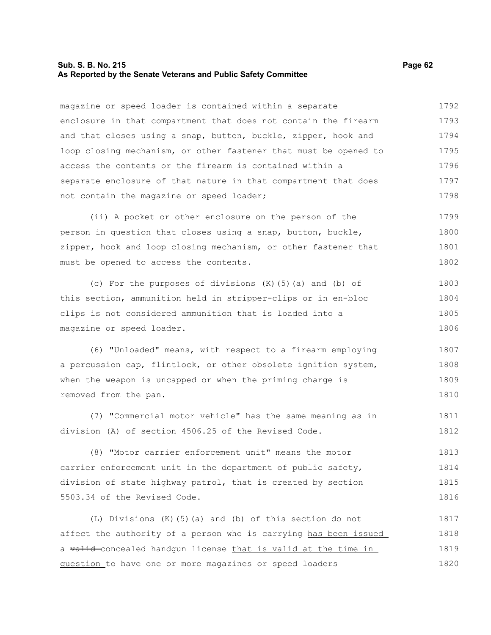# **Sub. S. B. No. 215 Page 62 As Reported by the Senate Veterans and Public Safety Committee**

| magazine or speed loader is contained within a separate          | 1792 |
|------------------------------------------------------------------|------|
| enclosure in that compartment that does not contain the firearm  | 1793 |
| and that closes using a snap, button, buckle, zipper, hook and   | 1794 |
| loop closing mechanism, or other fastener that must be opened to | 1795 |
| access the contents or the firearm is contained within a         | 1796 |
| separate enclosure of that nature in that compartment that does  | 1797 |
| not contain the magazine or speed loader;                        | 1798 |
| (ii) A pocket or other enclosure on the person of the            | 1799 |
| person in question that closes using a snap, button, buckle,     | 1800 |
| zipper, hook and loop closing mechanism, or other fastener that  | 1801 |
| must be opened to access the contents.                           | 1802 |
| (c) For the purposes of divisions (K) (5) (a) and (b) of         | 1803 |
| this section, ammunition held in stripper-clips or in en-bloc    | 1804 |
| clips is not considered ammunition that is loaded into a         | 1805 |
| magazine or speed loader.                                        | 1806 |
| (6) "Unloaded" means, with respect to a firearm employing        | 1807 |
| a percussion cap, flintlock, or other obsolete ignition system,  | 1808 |
| when the weapon is uncapped or when the priming charge is        | 1809 |
| removed from the pan.                                            | 1810 |
| (7) "Commercial motor vehicle" has the same meaning as in        | 1811 |
| division (A) of section 4506.25 of the Revised Code.             | 1812 |
| (8) "Motor carrier enforcement unit" means the motor             | 1813 |
| carrier enforcement unit in the department of public safety,     | 1814 |
| division of state highway patrol, that is created by section     | 1815 |
| 5503.34 of the Revised Code.                                     | 1816 |
| (L) Divisions (K) (5) (a) and (b) of this section do not         | 1817 |
| affect the authority of a person who is carrying-has been issued | 1818 |

a valid-concealed handgun license that is valid at the time in question to have one or more magazines or speed loaders 1819 1820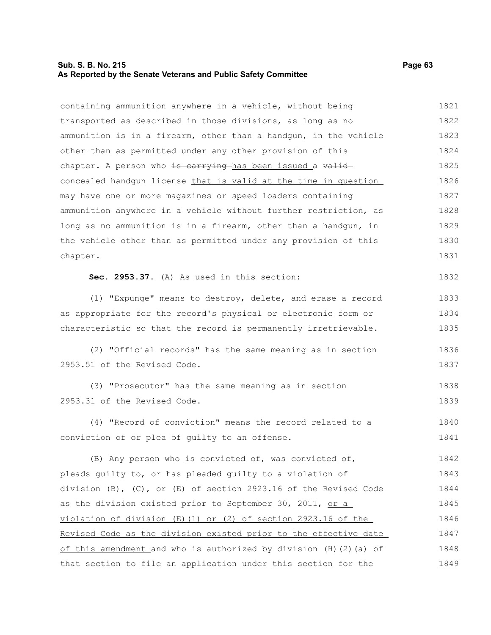### **Sub. S. B. No. 215 Page 63 As Reported by the Senate Veterans and Public Safety Committee**

containing ammunition anywhere in a vehicle, without being transported as described in those divisions, as long as no ammunition is in a firearm, other than a handgun, in the vehicle other than as permitted under any other provision of this chapter. A person who is carrying has been issued a valid concealed handgun license that is valid at the time in question may have one or more magazines or speed loaders containing ammunition anywhere in a vehicle without further restriction, as long as no ammunition is in a firearm, other than a handgun, in the vehicle other than as permitted under any provision of this chapter. **Sec. 2953.37.** (A) As used in this section: (1) "Expunge" means to destroy, delete, and erase a record as appropriate for the record's physical or electronic form or characteristic so that the record is permanently irretrievable. (2) "Official records" has the same meaning as in section 2953.51 of the Revised Code. (3) "Prosecutor" has the same meaning as in section 2953.31 of the Revised Code. (4) "Record of conviction" means the record related to a conviction of or plea of guilty to an offense. (B) Any person who is convicted of, was convicted of, pleads guilty to, or has pleaded guilty to a violation of division  $(B)$ ,  $(C)$ , or  $(E)$  of section 2923.16 of the Revised Code as the division existed prior to September 30, 2011, or a violation of division (E)(1) or (2) of section 2923.16 of the Revised Code as the division existed prior to the effective date of this amendment and who is authorized by division (H)(2)(a) of that section to file an application under this section for the 1821 1822 1823 1824 1825 1826 1827 1828 1829 1830 1831 1832 1833 1834 1835 1836 1837 1838 1839 1840 1841 1842 1843 1844 1845 1846 1847 1848 1849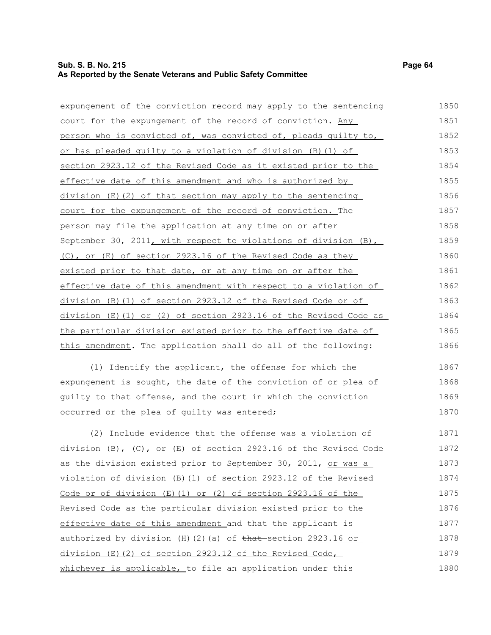# **Sub. S. B. No. 215 Page 64 As Reported by the Senate Veterans and Public Safety Committee**

expungement of the conviction record may apply to the sentencing court for the expungement of the record of conviction. Any person who is convicted of, was convicted of, pleads guilty to, or has pleaded guilty to a violation of division (B)(1) of section 2923.12 of the Revised Code as it existed prior to the effective date of this amendment and who is authorized by division (E)(2) of that section may apply to the sentencing court for the expungement of the record of conviction. The person may file the application at any time on or after September 30, 2011, with respect to violations of division (B), (C), or (E) of section 2923.16 of the Revised Code as they existed prior to that date, or at any time on or after the effective date of this amendment with respect to a violation of 1850 1851 1852 1853 1854 1855 1856 1857 1858 1859 1860 1861 1862

division (B)(1) of section 2923.12 of the Revised Code or of division (E)(1) or (2) of section 2923.16 of the Revised Code as the particular division existed prior to the effective date of this amendment. The application shall do all of the following: 1863 1864 1865 1866

(1) Identify the applicant, the offense for which the expungement is sought, the date of the conviction of or plea of guilty to that offense, and the court in which the conviction occurred or the plea of guilty was entered; 1867 1868 1869 1870

(2) Include evidence that the offense was a violation of division (B), (C), or (E) of section 2923.16 of the Revised Code as the division existed prior to September 30, 2011, or was a violation of division (B)(1) of section 2923.12 of the Revised Code or of division  $(E)(1)$  or  $(2)$  of section 2923.16 of the Revised Code as the particular division existed prior to the effective date of this amendment and that the applicant is authorized by division (H)(2)(a) of that section 2923.16 or division (E)(2) of section 2923.12 of the Revised Code, whichever is applicable, to file an application under this 1871 1872 1873 1874 1875 1876 1877 1878 1879 1880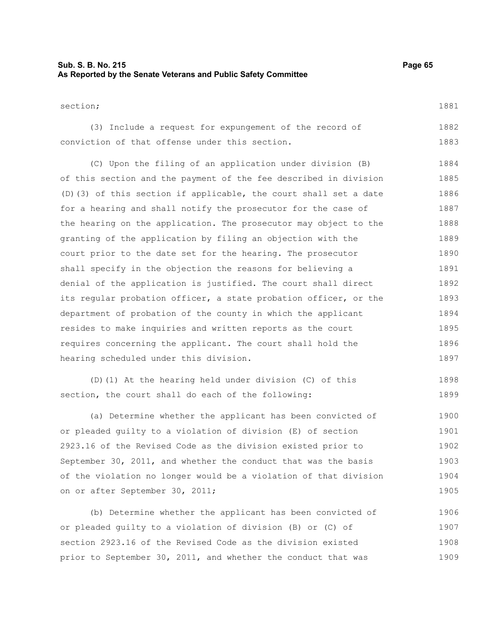# **Sub. S. B. No. 215 Page 65 As Reported by the Senate Veterans and Public Safety Committee**

#### section;

1881

(3) Include a request for expungement of the record of conviction of that offense under this section. 1882 1883

(C) Upon the filing of an application under division (B) of this section and the payment of the fee described in division (D)(3) of this section if applicable, the court shall set a date for a hearing and shall notify the prosecutor for the case of the hearing on the application. The prosecutor may object to the granting of the application by filing an objection with the court prior to the date set for the hearing. The prosecutor shall specify in the objection the reasons for believing a denial of the application is justified. The court shall direct its regular probation officer, a state probation officer, or the department of probation of the county in which the applicant resides to make inquiries and written reports as the court requires concerning the applicant. The court shall hold the hearing scheduled under this division. 1884 1885 1886 1887 1888 1889 1890 1891 1892 1893 1894 1895 1896 1897

(D)(1) At the hearing held under division (C) of this section, the court shall do each of the following: 1898 1899

(a) Determine whether the applicant has been convicted of or pleaded guilty to a violation of division (E) of section 2923.16 of the Revised Code as the division existed prior to September 30, 2011, and whether the conduct that was the basis of the violation no longer would be a violation of that division on or after September 30, 2011; 1900 1901 1902 1903 1904 1905

(b) Determine whether the applicant has been convicted of or pleaded guilty to a violation of division (B) or (C) of section 2923.16 of the Revised Code as the division existed prior to September 30, 2011, and whether the conduct that was 1906 1907 1908 1909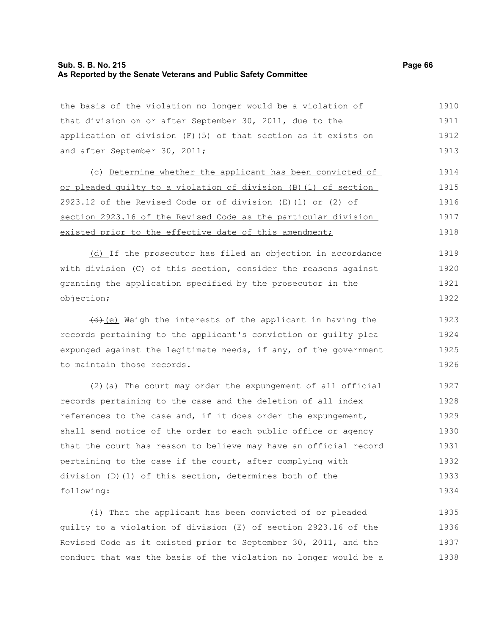# **Sub. S. B. No. 215 Page 66 As Reported by the Senate Veterans and Public Safety Committee**

| the basis of the violation no longer would be a violation of      | 1910 |
|-------------------------------------------------------------------|------|
| that division on or after September 30, 2011, due to the          | 1911 |
| application of division $(F)$ (5) of that section as it exists on | 1912 |
|                                                                   |      |
| and after September 30, 2011;                                     | 1913 |
| (c) Determine whether the applicant has been convicted of         | 1914 |
| or pleaded quilty to a violation of division (B) (1) of section   | 1915 |
| 2923.12 of the Revised Code or of division (E) (1) or (2) of      | 1916 |
| section 2923.16 of the Revised Code as the particular division    | 1917 |
| existed prior to the effective date of this amendment;            | 1918 |
| (d) If the prosecutor has filed an objection in accordance        | 1919 |
| with division (C) of this section, consider the reasons against   | 1920 |
| granting the application specified by the prosecutor in the       | 1921 |
| objection;                                                        | 1922 |
| (d) (e) Weigh the interests of the applicant in having the        | 1923 |
| records pertaining to the applicant's conviction or guilty plea   | 1924 |
| expunged against the legitimate needs, if any, of the government  | 1925 |
| to maintain those records.                                        | 1926 |
| (2) (a) The court may order the expungement of all official       | 1927 |
| records pertaining to the case and the deletion of all index      | 1928 |
| references to the case and, if it does order the expungement,     | 1929 |
| shall send notice of the order to each public office or agency    | 1930 |
| that the court has reason to believe may have an official record  | 1931 |
| pertaining to the case if the court, after complying with         | 1932 |
| division (D)(1) of this section, determines both of the           | 1933 |
| following:                                                        | 1934 |
|                                                                   |      |
| (i) That the applicant has been convicted of or pleaded           | 1935 |

guilty to a violation of division (E) of section 2923.16 of the Revised Code as it existed prior to September 30, 2011, and the conduct that was the basis of the violation no longer would be a 1936 1937 1938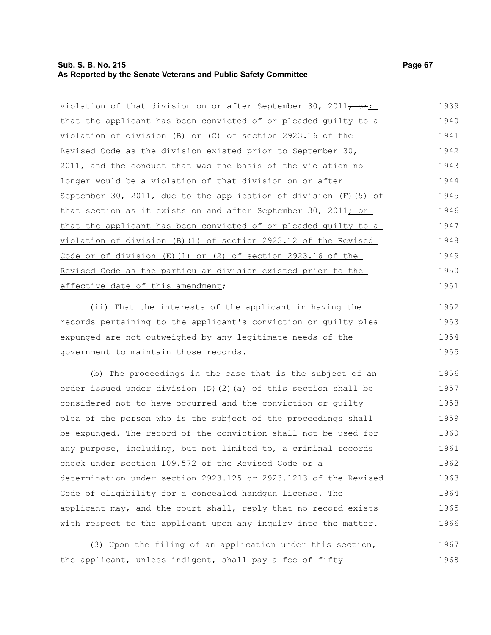### **Sub. S. B. No. 215 Page 67 As Reported by the Senate Veterans and Public Safety Committee**

violation of that division on or after September 30, 2011 $\rightarrow$  or; that the applicant has been convicted of or pleaded guilty to a violation of division (B) or (C) of section 2923.16 of the Revised Code as the division existed prior to September 30, 2011, and the conduct that was the basis of the violation no longer would be a violation of that division on or after September 30, 2011, due to the application of division (F)(5) of that section as it exists on and after September 30, 2011; or that the applicant has been convicted of or pleaded guilty to a violation of division (B)(1) of section 2923.12 of the Revised Code or of division  $(E)$  (1) or (2) of section 2923.16 of the Revised Code as the particular division existed prior to the effective date of this amendment; 1939 1940 1941 1942 1943 1944 1945 1946 1947 1948 1949 1950 1951

(ii) That the interests of the applicant in having the records pertaining to the applicant's conviction or guilty plea expunged are not outweighed by any legitimate needs of the government to maintain those records. 1952 1953 1954 1955

(b) The proceedings in the case that is the subject of an order issued under division (D)(2)(a) of this section shall be considered not to have occurred and the conviction or guilty plea of the person who is the subject of the proceedings shall be expunged. The record of the conviction shall not be used for any purpose, including, but not limited to, a criminal records check under section 109.572 of the Revised Code or a determination under section 2923.125 or 2923.1213 of the Revised Code of eligibility for a concealed handgun license. The applicant may, and the court shall, reply that no record exists with respect to the applicant upon any inquiry into the matter. 1956 1957 1958 1959 1960 1961 1962 1963 1964 1965 1966

(3) Upon the filing of an application under this section, the applicant, unless indigent, shall pay a fee of fifty 1967 1968